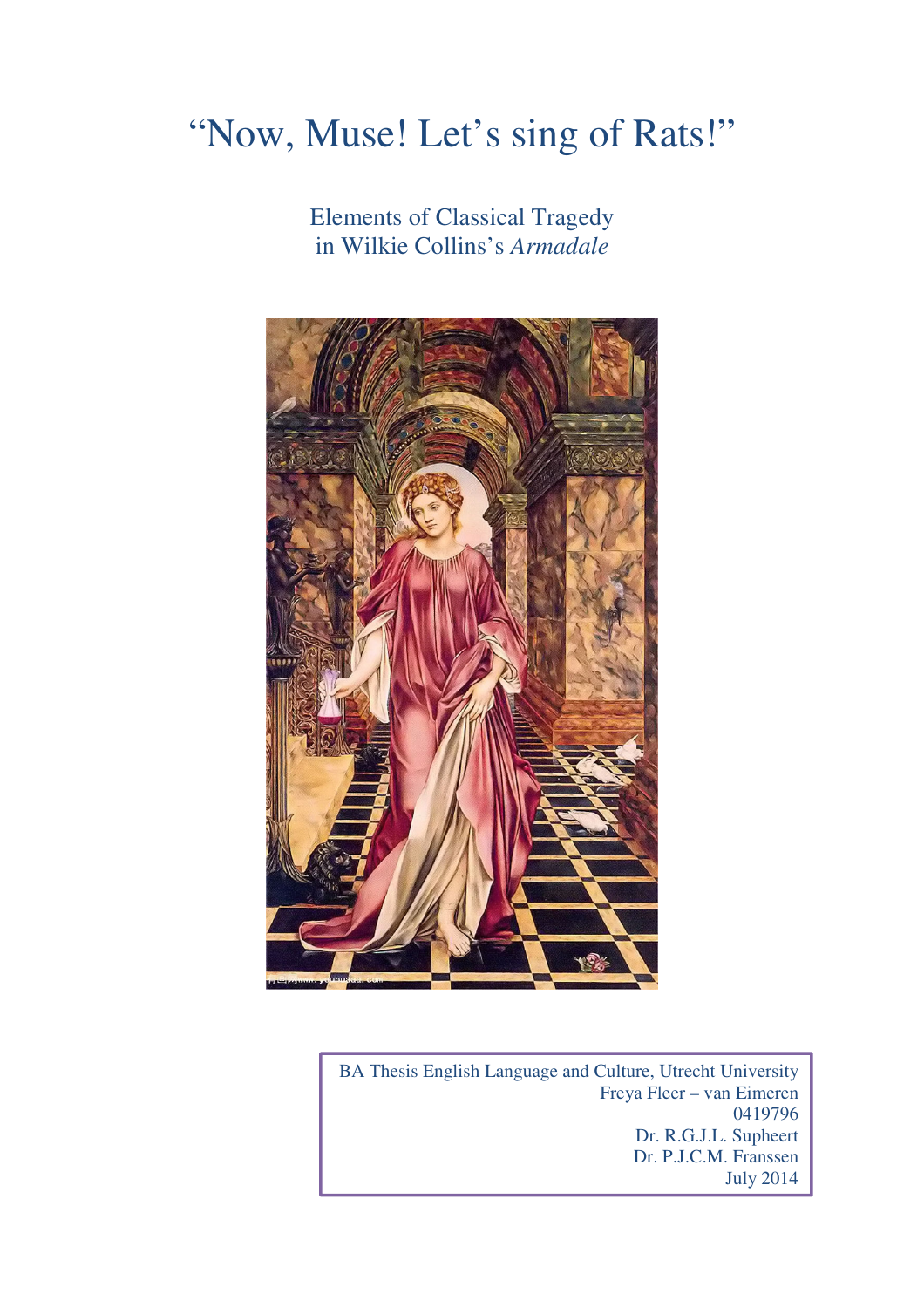# "Now, Muse! Let's sing of Rats!"

 Elements of Classical Tragedy in Wilkie Collins's *Armadale*



BA Thesis English Language and Culture, Utrecht University Freya Fleer – van Eimeren 0419796 Dr. R.G.J.L. Supheert Dr. P.J.C.M. Franssen July 2014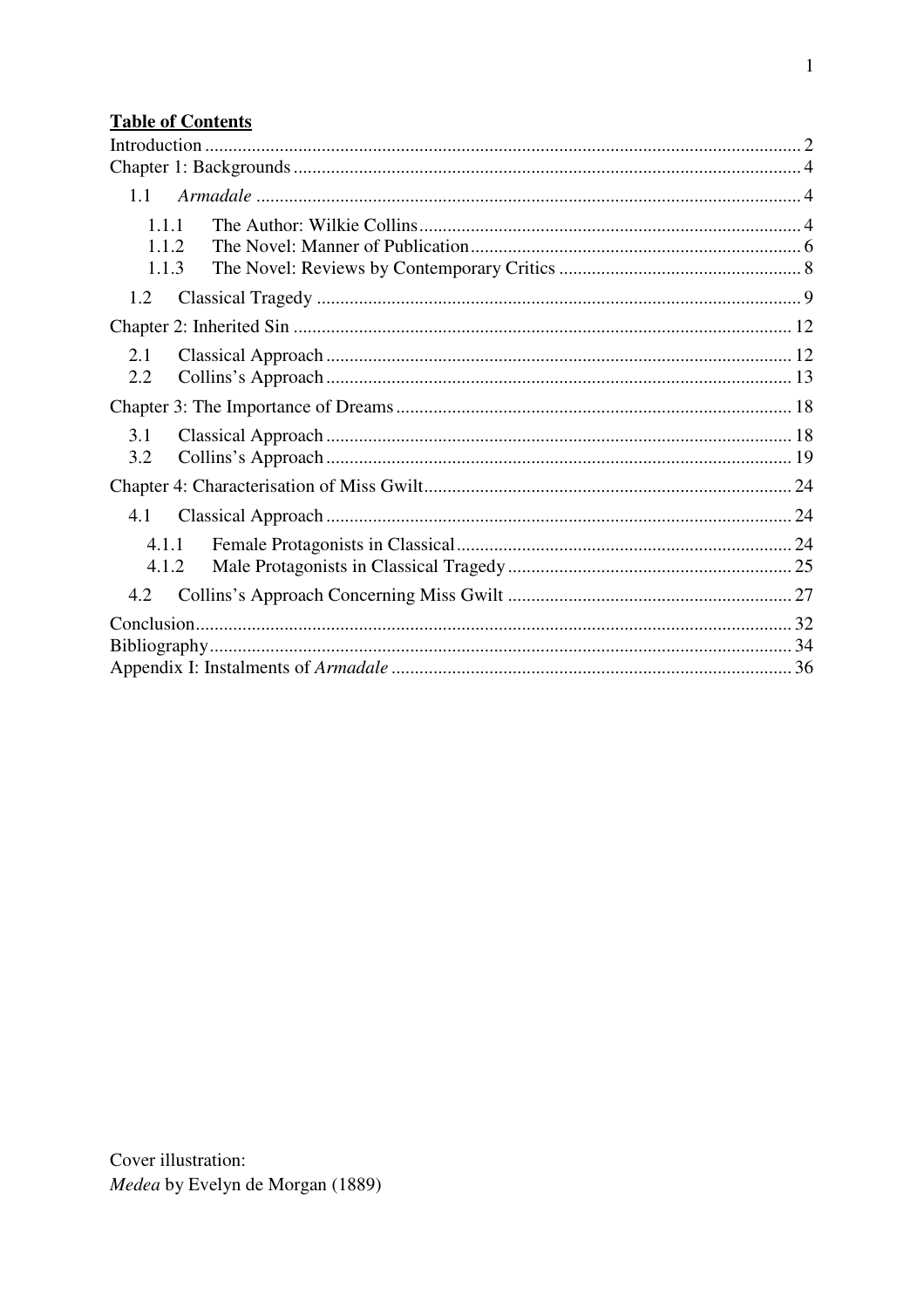## **Table of Contents**

| 1.1   |  |  |  |
|-------|--|--|--|
|       |  |  |  |
|       |  |  |  |
| 1.1.1 |  |  |  |
| 1.1.2 |  |  |  |
| 1.1.3 |  |  |  |
| 1.2   |  |  |  |
|       |  |  |  |
| 2.1   |  |  |  |
| 2.2   |  |  |  |
|       |  |  |  |
| 3.1   |  |  |  |
| 3.2   |  |  |  |
|       |  |  |  |
| 4.1   |  |  |  |
| 4.1.1 |  |  |  |
| 4.1.2 |  |  |  |
| 4.2   |  |  |  |
|       |  |  |  |
|       |  |  |  |
|       |  |  |  |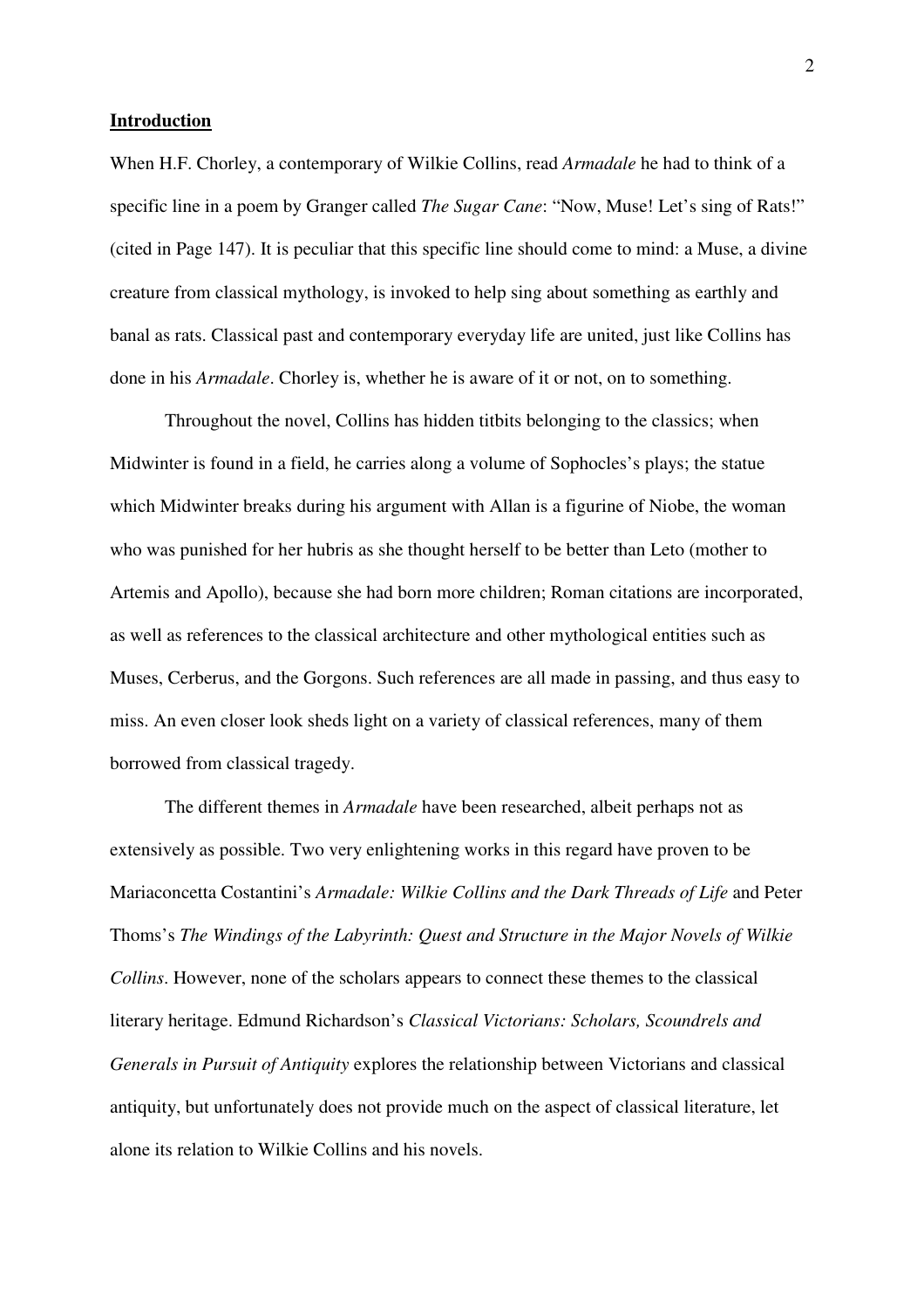#### **Introduction**

When H.F. Chorley, a contemporary of Wilkie Collins, read *Armadale* he had to think of a specific line in a poem by Granger called *The Sugar Cane*: "Now, Muse! Let's sing of Rats!" (cited in Page 147). It is peculiar that this specific line should come to mind: a Muse, a divine creature from classical mythology, is invoked to help sing about something as earthly and banal as rats. Classical past and contemporary everyday life are united, just like Collins has done in his *Armadale*. Chorley is, whether he is aware of it or not, on to something.

Throughout the novel, Collins has hidden titbits belonging to the classics; when Midwinter is found in a field, he carries along a volume of Sophocles's plays; the statue which Midwinter breaks during his argument with Allan is a figurine of Niobe, the woman who was punished for her hubris as she thought herself to be better than Leto (mother to Artemis and Apollo), because she had born more children; Roman citations are incorporated, as well as references to the classical architecture and other mythological entities such as Muses, Cerberus, and the Gorgons. Such references are all made in passing, and thus easy to miss. An even closer look sheds light on a variety of classical references, many of them borrowed from classical tragedy.

The different themes in *Armadale* have been researched, albeit perhaps not as extensively as possible. Two very enlightening works in this regard have proven to be Mariaconcetta Costantini's *Armadale: Wilkie Collins and the Dark Threads of Life* and Peter Thoms's *The Windings of the Labyrinth: Quest and Structure in the Major Novels of Wilkie Collins*. However, none of the scholars appears to connect these themes to the classical literary heritage. Edmund Richardson's *Classical Victorians: Scholars, Scoundrels and Generals in Pursuit of Antiquity* explores the relationship between Victorians and classical antiquity, but unfortunately does not provide much on the aspect of classical literature, let alone its relation to Wilkie Collins and his novels.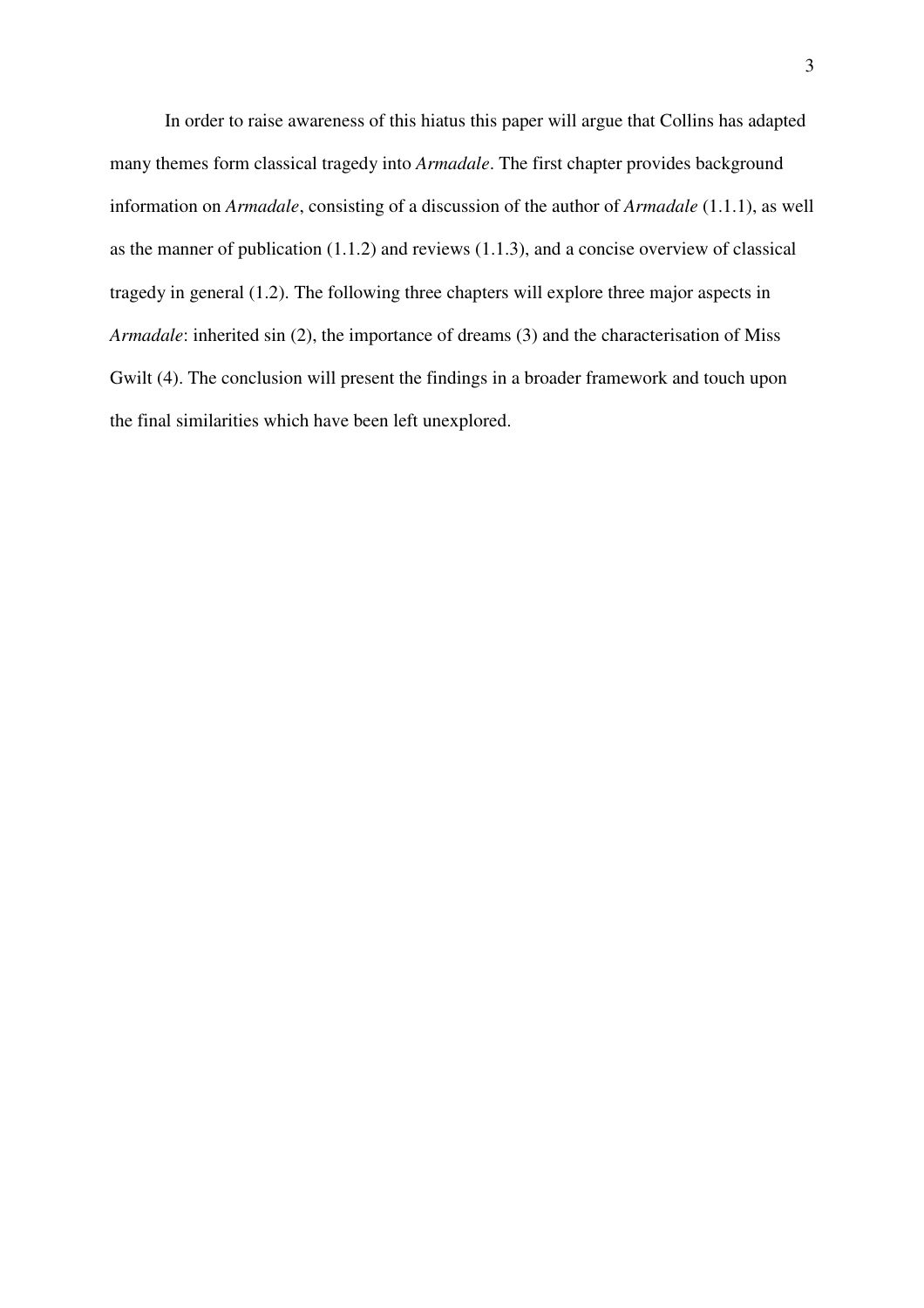In order to raise awareness of this hiatus this paper will argue that Collins has adapted many themes form classical tragedy into *Armadale*. The first chapter provides background information on *Armadale*, consisting of a discussion of the author of *Armadale* (1.1.1), as well as the manner of publication  $(1.1.2)$  and reviews  $(1.1.3)$ , and a concise overview of classical tragedy in general (1.2). The following three chapters will explore three major aspects in *Armadale*: inherited sin (2), the importance of dreams (3) and the characterisation of Miss Gwilt (4). The conclusion will present the findings in a broader framework and touch upon the final similarities which have been left unexplored.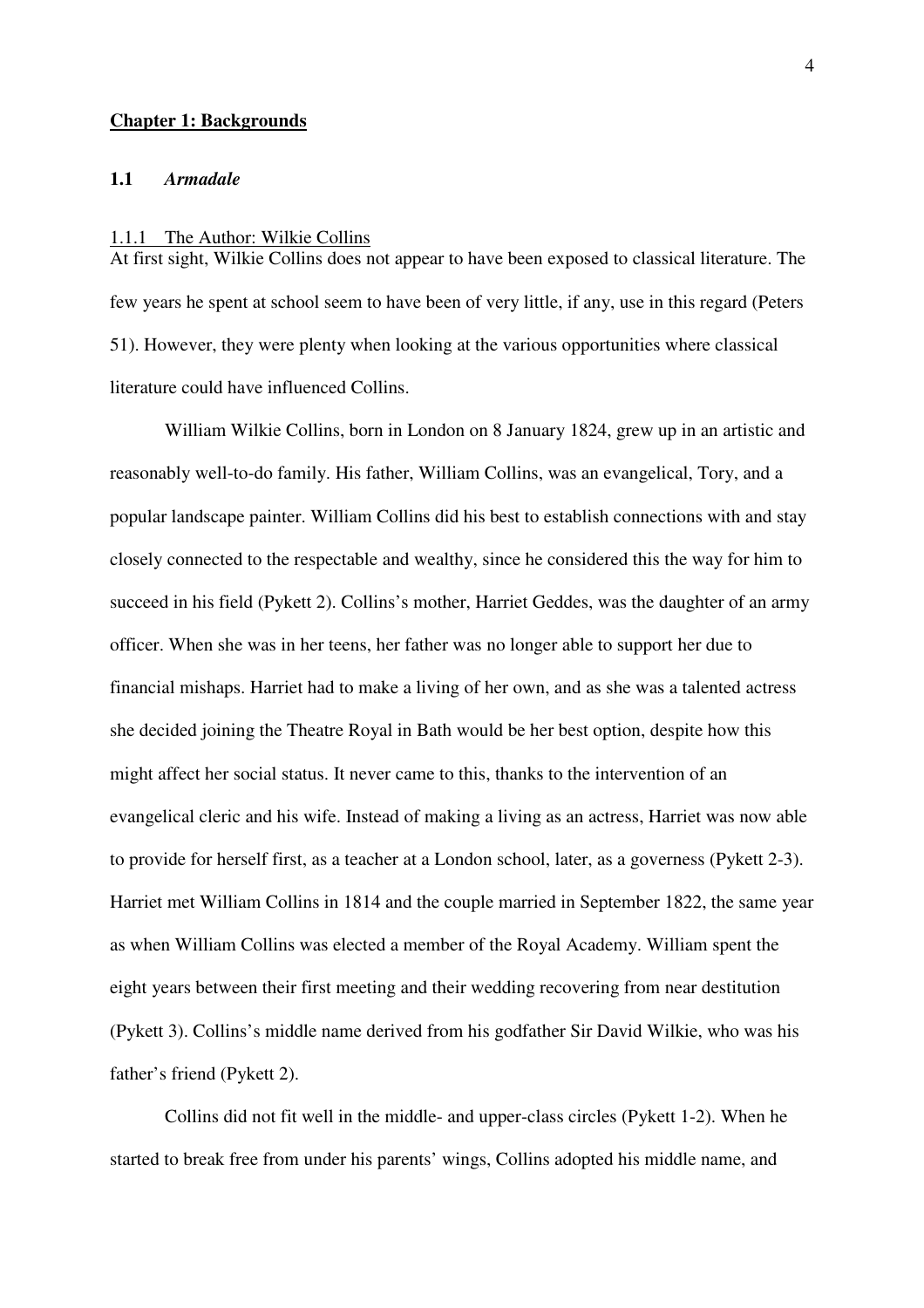#### **Chapter 1: Backgrounds**

#### **1.1** *Armadale*

#### 1.1.1 The Author: Wilkie Collins

At first sight, Wilkie Collins does not appear to have been exposed to classical literature. The few years he spent at school seem to have been of very little, if any, use in this regard (Peters 51). However, they were plenty when looking at the various opportunities where classical literature could have influenced Collins.

William Wilkie Collins, born in London on 8 January 1824, grew up in an artistic and reasonably well-to-do family. His father, William Collins, was an evangelical, Tory, and a popular landscape painter. William Collins did his best to establish connections with and stay closely connected to the respectable and wealthy, since he considered this the way for him to succeed in his field (Pykett 2). Collins's mother, Harriet Geddes, was the daughter of an army officer. When she was in her teens, her father was no longer able to support her due to financial mishaps. Harriet had to make a living of her own, and as she was a talented actress she decided joining the Theatre Royal in Bath would be her best option, despite how this might affect her social status. It never came to this, thanks to the intervention of an evangelical cleric and his wife. Instead of making a living as an actress, Harriet was now able to provide for herself first, as a teacher at a London school, later, as a governess (Pykett 2-3). Harriet met William Collins in 1814 and the couple married in September 1822, the same year as when William Collins was elected a member of the Royal Academy. William spent the eight years between their first meeting and their wedding recovering from near destitution (Pykett 3). Collins's middle name derived from his godfather Sir David Wilkie, who was his father's friend (Pykett 2).

Collins did not fit well in the middle- and upper-class circles (Pykett 1-2). When he started to break free from under his parents' wings, Collins adopted his middle name, and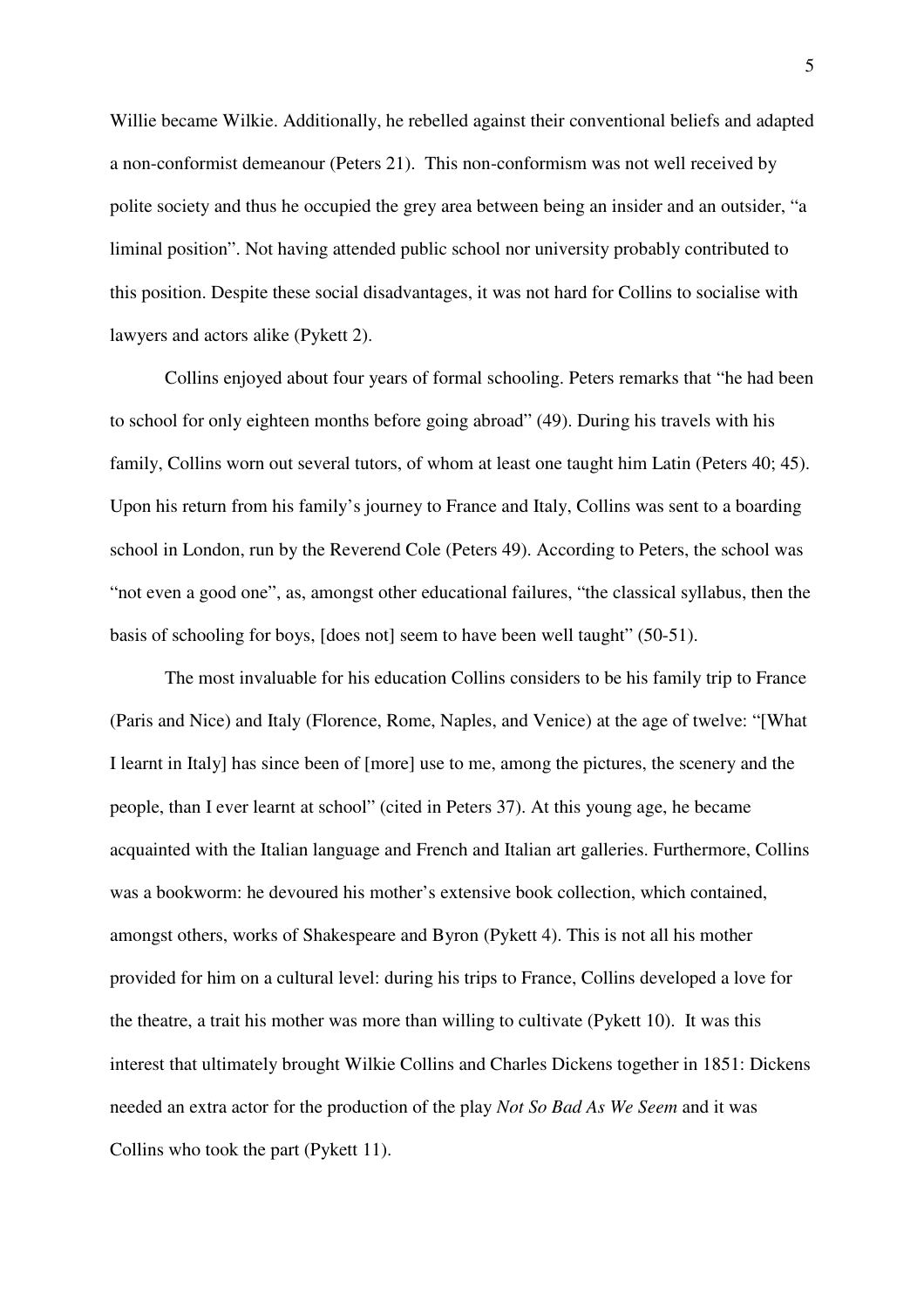Willie became Wilkie. Additionally, he rebelled against their conventional beliefs and adapted a non-conformist demeanour (Peters 21). This non-conformism was not well received by polite society and thus he occupied the grey area between being an insider and an outsider, "a liminal position". Not having attended public school nor university probably contributed to this position. Despite these social disadvantages, it was not hard for Collins to socialise with lawyers and actors alike (Pykett 2).

Collins enjoyed about four years of formal schooling. Peters remarks that "he had been to school for only eighteen months before going abroad" (49). During his travels with his family, Collins worn out several tutors, of whom at least one taught him Latin (Peters 40; 45). Upon his return from his family's journey to France and Italy, Collins was sent to a boarding school in London, run by the Reverend Cole (Peters 49). According to Peters, the school was "not even a good one", as, amongst other educational failures, "the classical syllabus, then the basis of schooling for boys, [does not] seem to have been well taught" (50-51).

The most invaluable for his education Collins considers to be his family trip to France (Paris and Nice) and Italy (Florence, Rome, Naples, and Venice) at the age of twelve: "[What I learnt in Italy] has since been of [more] use to me, among the pictures, the scenery and the people, than I ever learnt at school" (cited in Peters 37). At this young age, he became acquainted with the Italian language and French and Italian art galleries. Furthermore, Collins was a bookworm: he devoured his mother's extensive book collection, which contained, amongst others, works of Shakespeare and Byron (Pykett 4). This is not all his mother provided for him on a cultural level: during his trips to France, Collins developed a love for the theatre, a trait his mother was more than willing to cultivate (Pykett 10). It was this interest that ultimately brought Wilkie Collins and Charles Dickens together in 1851: Dickens needed an extra actor for the production of the play *Not So Bad As We Seem* and it was Collins who took the part (Pykett 11).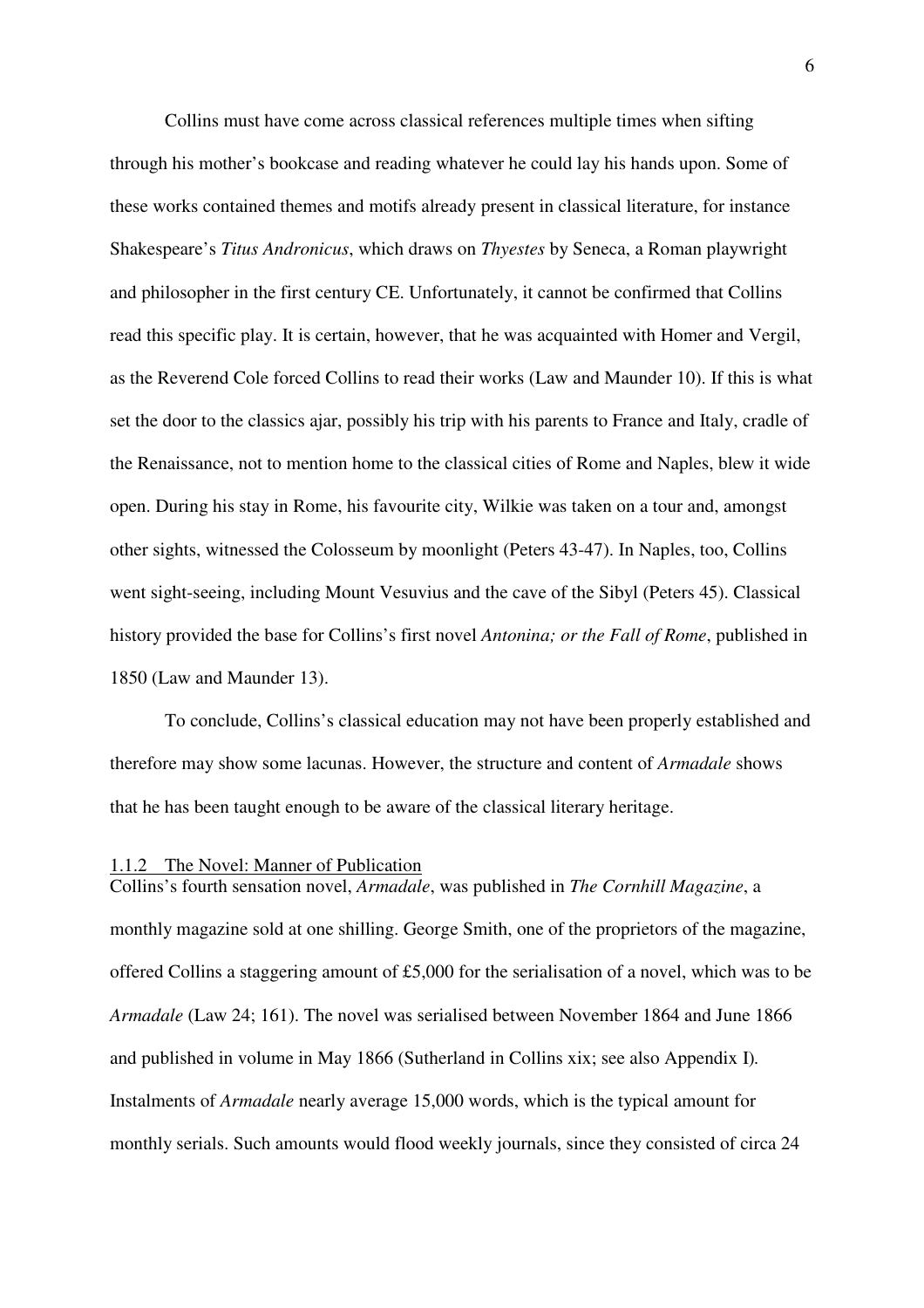Collins must have come across classical references multiple times when sifting through his mother's bookcase and reading whatever he could lay his hands upon. Some of these works contained themes and motifs already present in classical literature, for instance Shakespeare's *Titus Andronicus*, which draws on *Thyestes* by Seneca, a Roman playwright and philosopher in the first century CE. Unfortunately, it cannot be confirmed that Collins read this specific play. It is certain, however, that he was acquainted with Homer and Vergil, as the Reverend Cole forced Collins to read their works (Law and Maunder 10). If this is what set the door to the classics ajar, possibly his trip with his parents to France and Italy, cradle of the Renaissance, not to mention home to the classical cities of Rome and Naples, blew it wide open. During his stay in Rome, his favourite city, Wilkie was taken on a tour and, amongst other sights, witnessed the Colosseum by moonlight (Peters 43-47). In Naples, too, Collins went sight-seeing, including Mount Vesuvius and the cave of the Sibyl (Peters 45). Classical history provided the base for Collins's first novel *Antonina; or the Fall of Rome*, published in 1850 (Law and Maunder 13).

To conclude, Collins's classical education may not have been properly established and therefore may show some lacunas. However, the structure and content of *Armadale* shows that he has been taught enough to be aware of the classical literary heritage.

#### 1.1.2 The Novel: Manner of Publication

Collins's fourth sensation novel, *Armadale*, was published in *The Cornhill Magazine*, a monthly magazine sold at one shilling. George Smith, one of the proprietors of the magazine, offered Collins a staggering amount of £5,000 for the serialisation of a novel, which was to be *Armadale* (Law 24; 161). The novel was serialised between November 1864 and June 1866 and published in volume in May 1866 (Sutherland in Collins xix; see also Appendix I)*.* Instalments of *Armadale* nearly average 15,000 words, which is the typical amount for monthly serials. Such amounts would flood weekly journals, since they consisted of circa 24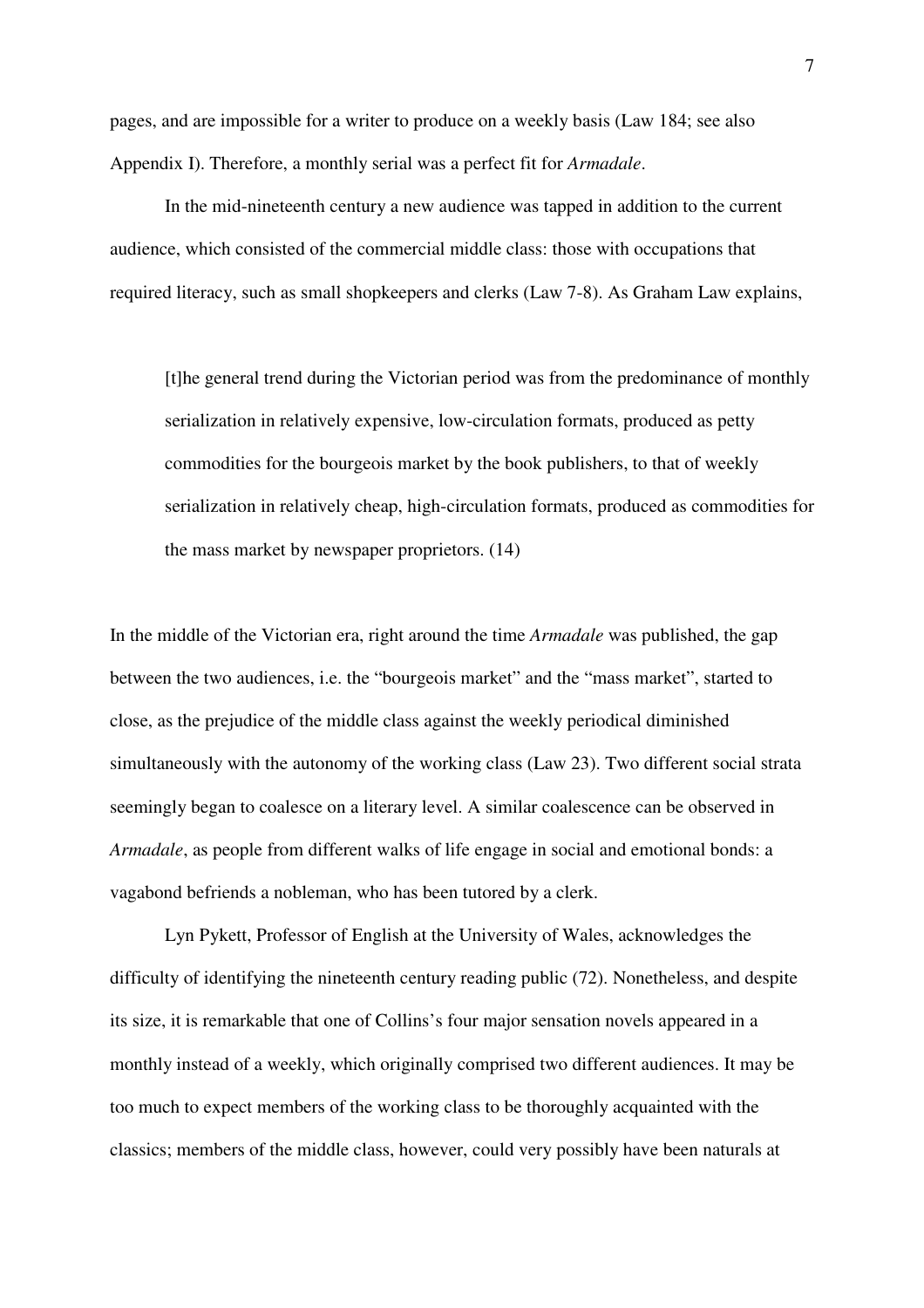pages, and are impossible for a writer to produce on a weekly basis (Law 184; see also Appendix I). Therefore, a monthly serial was a perfect fit for *Armadale*.

In the mid-nineteenth century a new audience was tapped in addition to the current audience, which consisted of the commercial middle class: those with occupations that required literacy, such as small shopkeepers and clerks (Law 7-8). As Graham Law explains,

[t]he general trend during the Victorian period was from the predominance of monthly serialization in relatively expensive, low-circulation formats, produced as petty commodities for the bourgeois market by the book publishers, to that of weekly serialization in relatively cheap, high-circulation formats, produced as commodities for the mass market by newspaper proprietors. (14)

In the middle of the Victorian era, right around the time *Armadale* was published, the gap between the two audiences, i.e. the "bourgeois market" and the "mass market", started to close, as the prejudice of the middle class against the weekly periodical diminished simultaneously with the autonomy of the working class (Law 23). Two different social strata seemingly began to coalesce on a literary level. A similar coalescence can be observed in *Armadale*, as people from different walks of life engage in social and emotional bonds: a vagabond befriends a nobleman, who has been tutored by a clerk.

Lyn Pykett, Professor of English at the University of Wales, acknowledges the difficulty of identifying the nineteenth century reading public (72). Nonetheless, and despite its size, it is remarkable that one of Collins's four major sensation novels appeared in a monthly instead of a weekly, which originally comprised two different audiences. It may be too much to expect members of the working class to be thoroughly acquainted with the classics; members of the middle class, however, could very possibly have been naturals at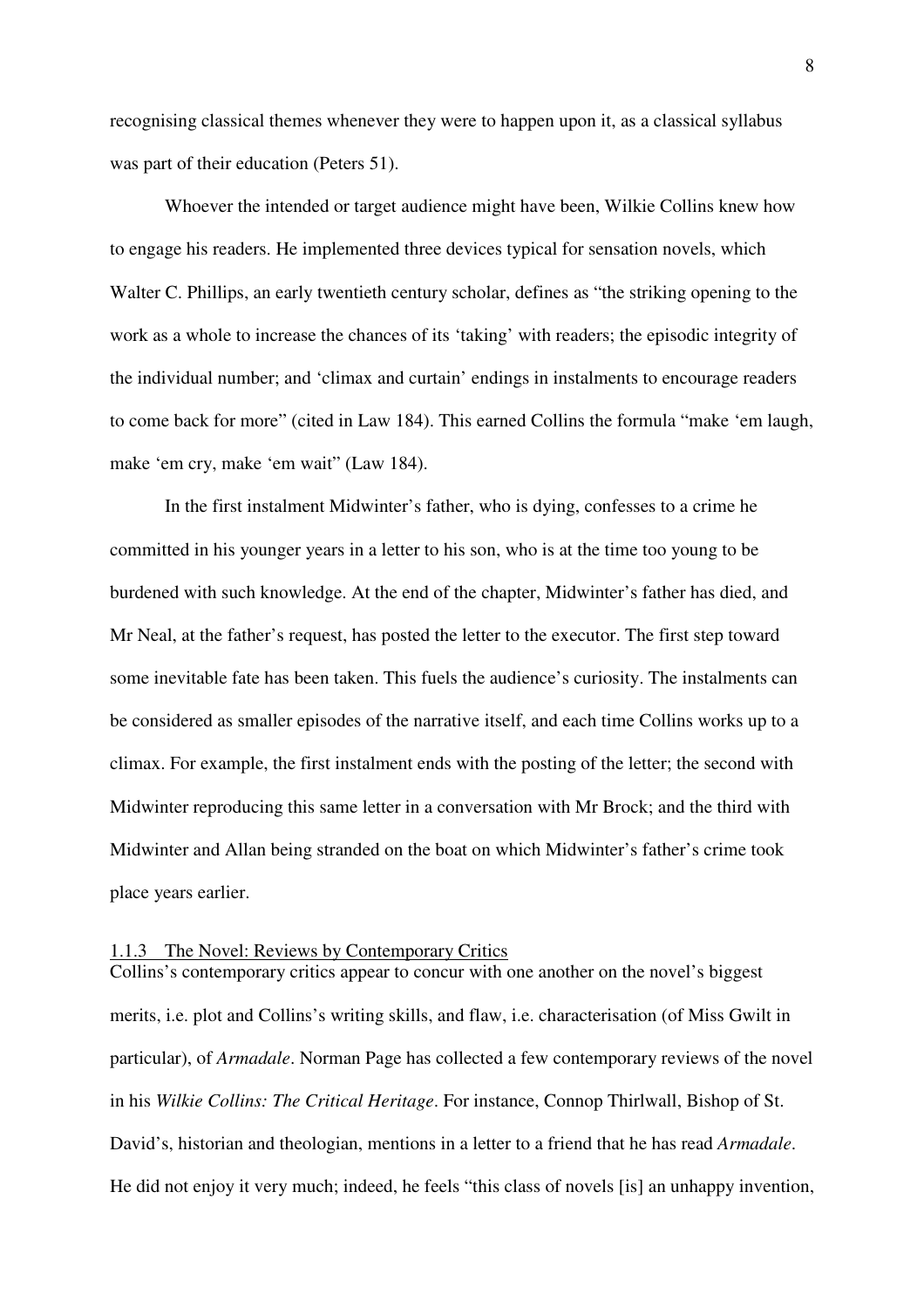recognising classical themes whenever they were to happen upon it, as a classical syllabus was part of their education (Peters 51).

Whoever the intended or target audience might have been, Wilkie Collins knew how to engage his readers. He implemented three devices typical for sensation novels, which Walter C. Phillips, an early twentieth century scholar, defines as "the striking opening to the work as a whole to increase the chances of its 'taking' with readers; the episodic integrity of the individual number; and 'climax and curtain' endings in instalments to encourage readers to come back for more" (cited in Law 184). This earned Collins the formula "make 'em laugh, make 'em cry, make 'em wait" (Law 184).

In the first instalment Midwinter's father, who is dying, confesses to a crime he committed in his younger years in a letter to his son, who is at the time too young to be burdened with such knowledge. At the end of the chapter, Midwinter's father has died, and Mr Neal, at the father's request, has posted the letter to the executor. The first step toward some inevitable fate has been taken. This fuels the audience's curiosity. The instalments can be considered as smaller episodes of the narrative itself, and each time Collins works up to a climax. For example, the first instalment ends with the posting of the letter; the second with Midwinter reproducing this same letter in a conversation with Mr Brock; and the third with Midwinter and Allan being stranded on the boat on which Midwinter's father's crime took place years earlier.

#### 1.1.3 The Novel: Reviews by Contemporary Critics

Collins's contemporary critics appear to concur with one another on the novel's biggest merits, i.e. plot and Collins's writing skills, and flaw, i.e. characterisation (of Miss Gwilt in particular), of *Armadale*. Norman Page has collected a few contemporary reviews of the novel in his *Wilkie Collins: The Critical Heritage*. For instance, Connop Thirlwall, Bishop of St. David's, historian and theologian, mentions in a letter to a friend that he has read *Armadale*. He did not enjoy it very much; indeed, he feels "this class of novels [is] an unhappy invention,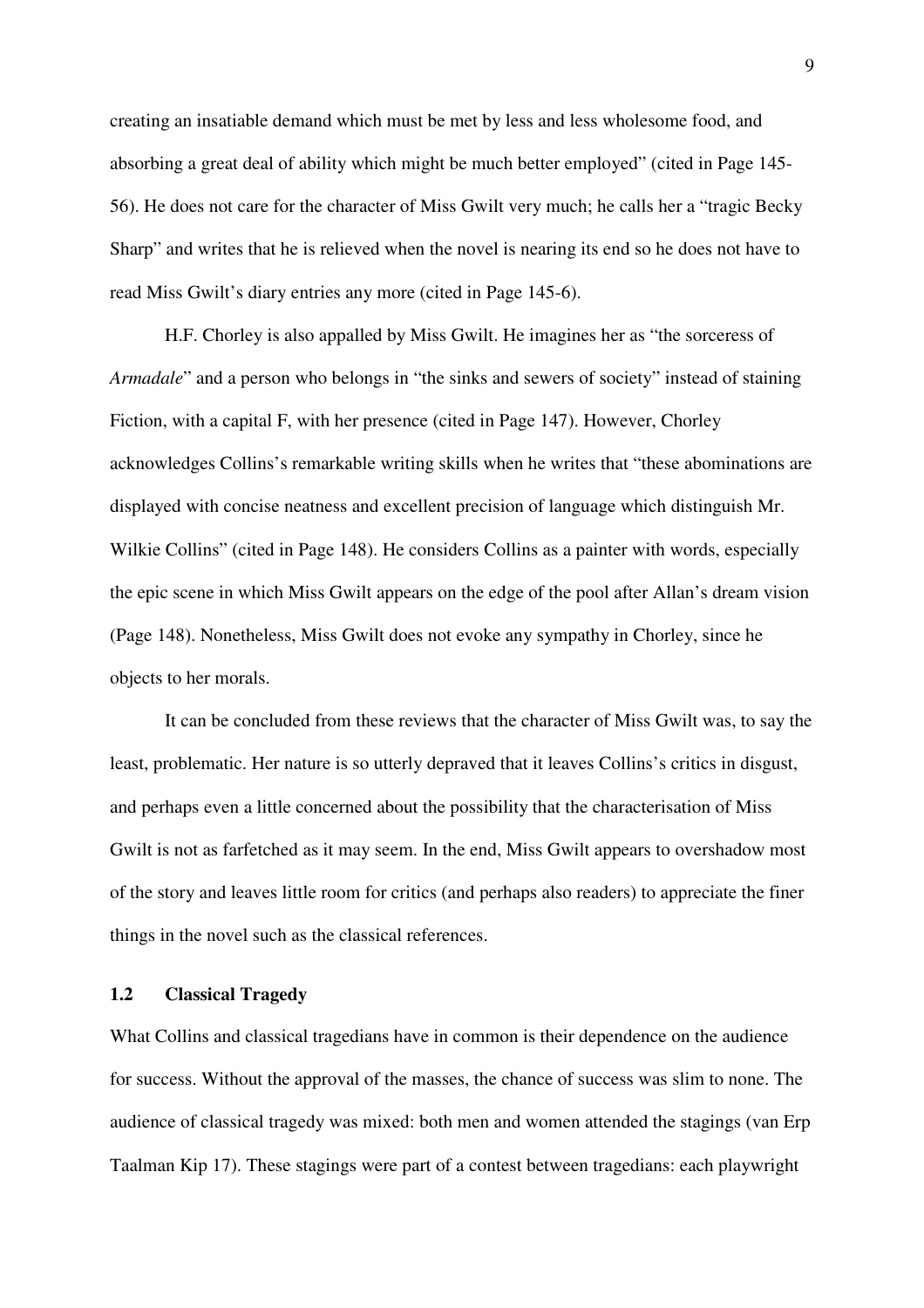creating an insatiable demand which must be met by less and less wholesome food, and absorbing a great deal of ability which might be much better employed" (cited in Page 145- 56). He does not care for the character of Miss Gwilt very much; he calls her a "tragic Becky Sharp" and writes that he is relieved when the novel is nearing its end so he does not have to read Miss Gwilt's diary entries any more (cited in Page 145-6).

H.F. Chorley is also appalled by Miss Gwilt. He imagines her as "the sorceress of *Armadale*" and a person who belongs in "the sinks and sewers of society" instead of staining Fiction, with a capital F, with her presence (cited in Page 147). However, Chorley acknowledges Collins's remarkable writing skills when he writes that "these abominations are displayed with concise neatness and excellent precision of language which distinguish Mr. Wilkie Collins" (cited in Page 148). He considers Collins as a painter with words, especially the epic scene in which Miss Gwilt appears on the edge of the pool after Allan's dream vision (Page 148). Nonetheless, Miss Gwilt does not evoke any sympathy in Chorley, since he objects to her morals.

It can be concluded from these reviews that the character of Miss Gwilt was, to say the least, problematic. Her nature is so utterly depraved that it leaves Collins's critics in disgust, and perhaps even a little concerned about the possibility that the characterisation of Miss Gwilt is not as farfetched as it may seem. In the end, Miss Gwilt appears to overshadow most of the story and leaves little room for critics (and perhaps also readers) to appreciate the finer things in the novel such as the classical references.

#### **1.2 Classical Tragedy**

What Collins and classical tragedians have in common is their dependence on the audience for success. Without the approval of the masses, the chance of success was slim to none. The audience of classical tragedy was mixed: both men and women attended the stagings (van Erp Taalman Kip 17). These stagings were part of a contest between tragedians: each playwright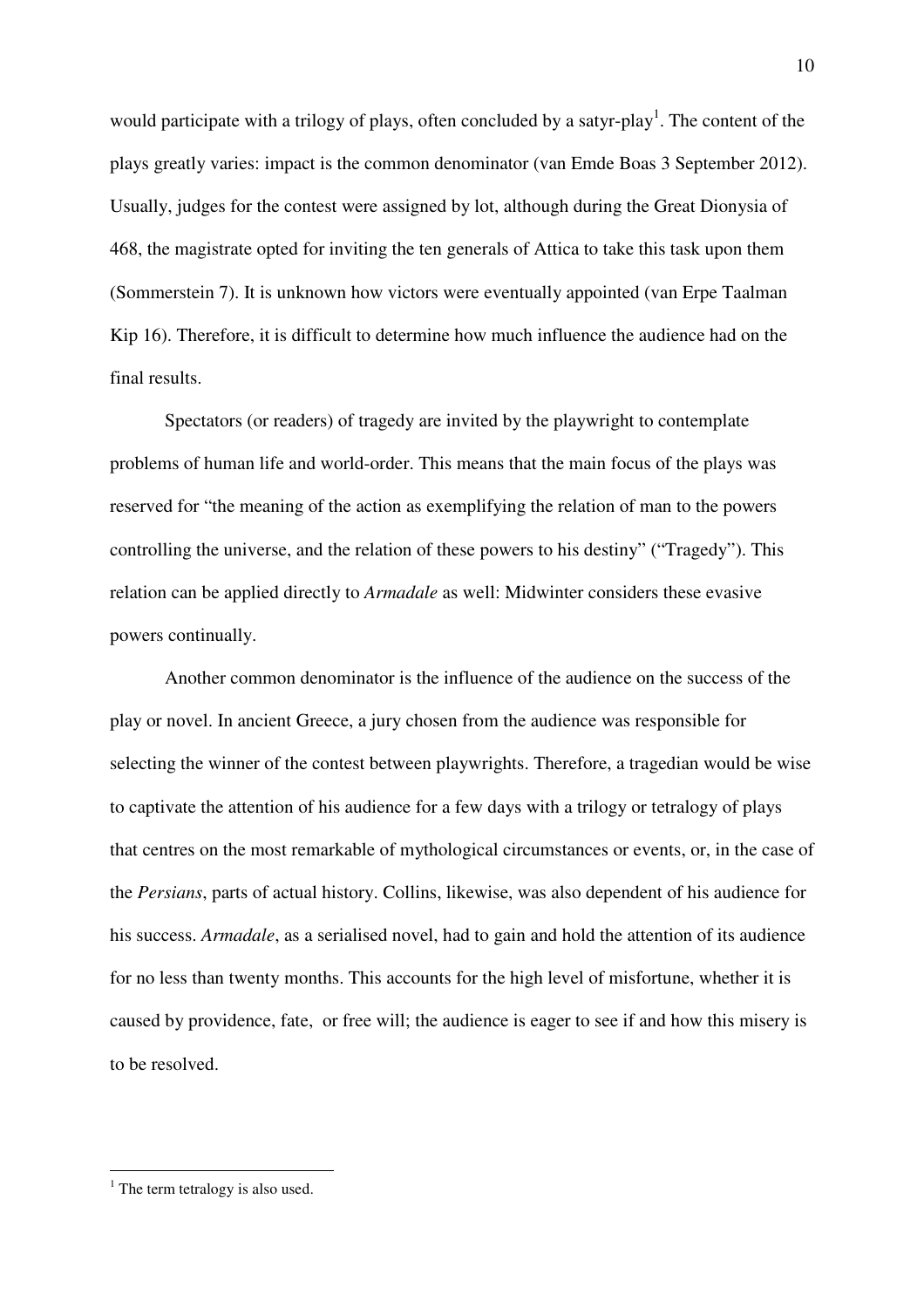would participate with a trilogy of plays, often concluded by a satyr-play<sup>1</sup>. The content of the plays greatly varies: impact is the common denominator (van Emde Boas 3 September 2012). Usually, judges for the contest were assigned by lot, although during the Great Dionysia of 468, the magistrate opted for inviting the ten generals of Attica to take this task upon them (Sommerstein 7). It is unknown how victors were eventually appointed (van Erpe Taalman Kip 16). Therefore, it is difficult to determine how much influence the audience had on the final results.

Spectators (or readers) of tragedy are invited by the playwright to contemplate problems of human life and world-order. This means that the main focus of the plays was reserved for "the meaning of the action as exemplifying the relation of man to the powers controlling the universe, and the relation of these powers to his destiny" ("Tragedy"). This relation can be applied directly to *Armadale* as well: Midwinter considers these evasive powers continually.

Another common denominator is the influence of the audience on the success of the play or novel. In ancient Greece, a jury chosen from the audience was responsible for selecting the winner of the contest between playwrights. Therefore, a tragedian would be wise to captivate the attention of his audience for a few days with a trilogy or tetralogy of plays that centres on the most remarkable of mythological circumstances or events, or, in the case of the *Persians*, parts of actual history. Collins, likewise, was also dependent of his audience for his success. *Armadale*, as a serialised novel, had to gain and hold the attention of its audience for no less than twenty months. This accounts for the high level of misfortune, whether it is caused by providence, fate, or free will; the audience is eager to see if and how this misery is to be resolved.

 $\overline{a}$ 

<sup>10</sup> 

<sup>&</sup>lt;sup>1</sup> The term tetralogy is also used.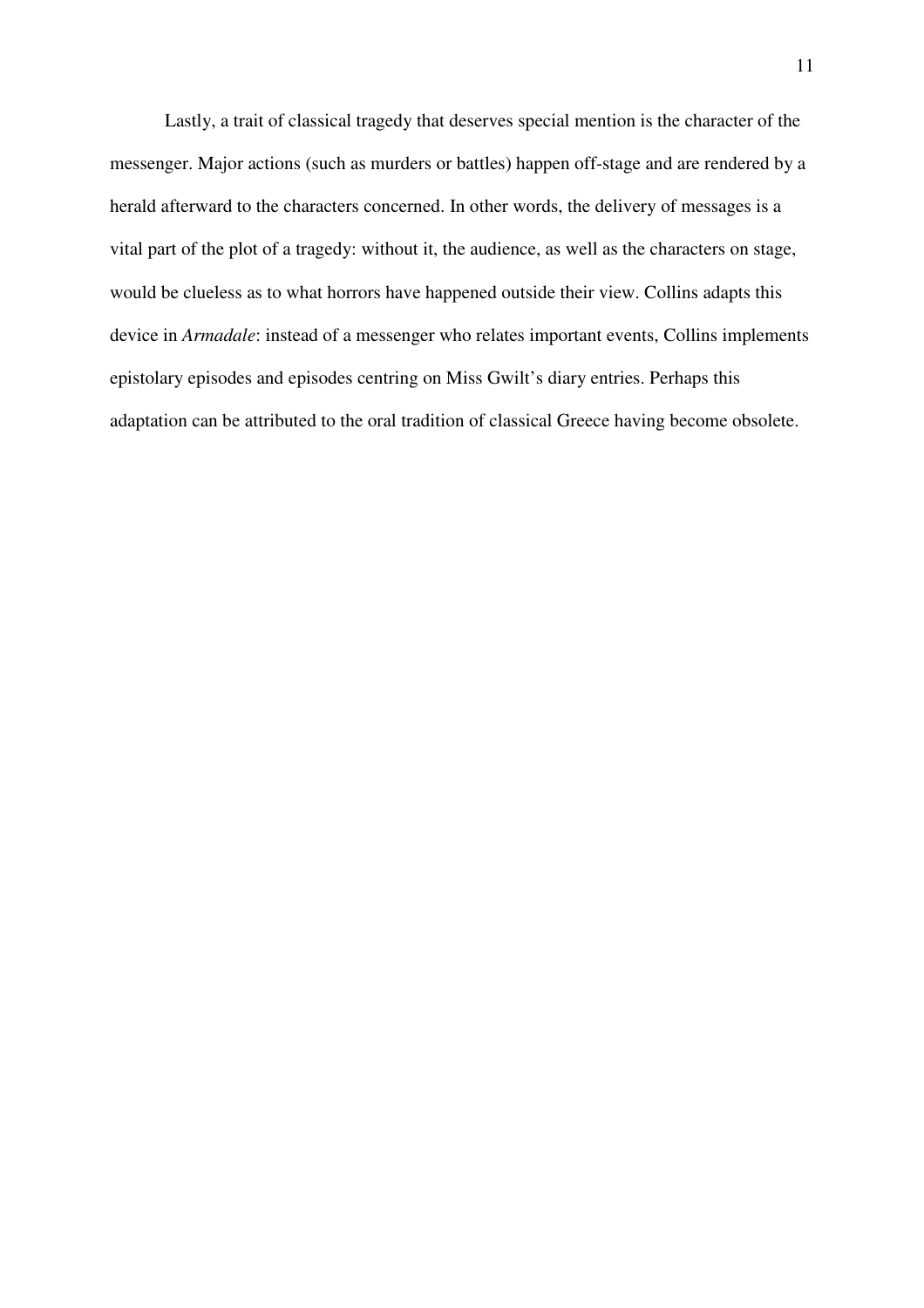Lastly, a trait of classical tragedy that deserves special mention is the character of the messenger. Major actions (such as murders or battles) happen off-stage and are rendered by a herald afterward to the characters concerned. In other words, the delivery of messages is a vital part of the plot of a tragedy: without it, the audience, as well as the characters on stage, would be clueless as to what horrors have happened outside their view. Collins adapts this device in *Armadale*: instead of a messenger who relates important events, Collins implements epistolary episodes and episodes centring on Miss Gwilt's diary entries. Perhaps this adaptation can be attributed to the oral tradition of classical Greece having become obsolete.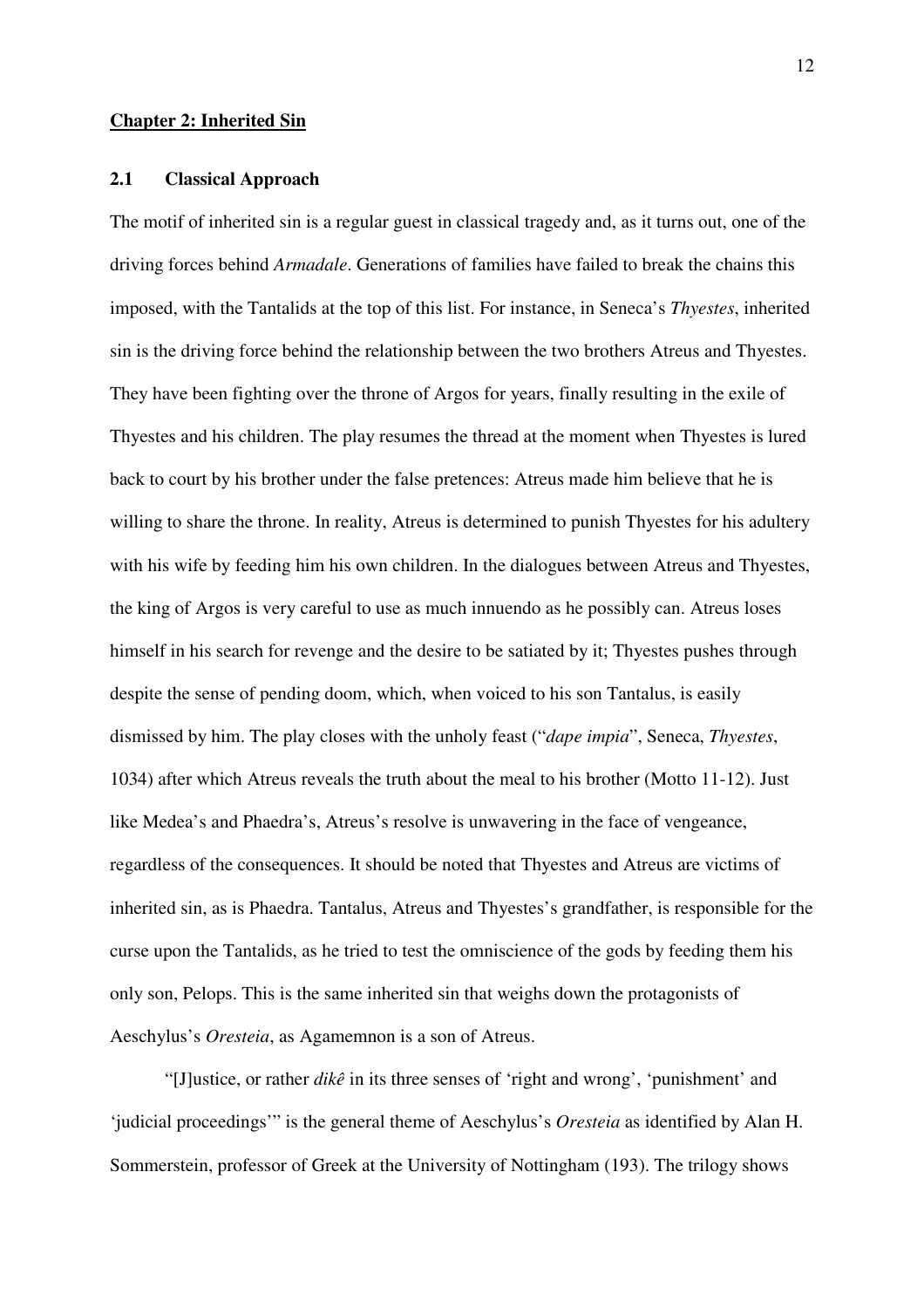#### **Chapter 2: Inherited Sin**

#### **2.1 Classical Approach**

The motif of inherited sin is a regular guest in classical tragedy and, as it turns out, one of the driving forces behind *Armadale*. Generations of families have failed to break the chains this imposed, with the Tantalids at the top of this list. For instance, in Seneca's *Thyestes*, inherited sin is the driving force behind the relationship between the two brothers Atreus and Thyestes. They have been fighting over the throne of Argos for years, finally resulting in the exile of Thyestes and his children. The play resumes the thread at the moment when Thyestes is lured back to court by his brother under the false pretences: Atreus made him believe that he is willing to share the throne. In reality, Atreus is determined to punish Thyestes for his adultery with his wife by feeding him his own children. In the dialogues between Atreus and Thyestes, the king of Argos is very careful to use as much innuendo as he possibly can. Atreus loses himself in his search for revenge and the desire to be satiated by it; Thyestes pushes through despite the sense of pending doom, which, when voiced to his son Tantalus, is easily dismissed by him. The play closes with the unholy feast ("*dape impia*", Seneca, *Thyestes*, 1034) after which Atreus reveals the truth about the meal to his brother (Motto 11-12). Just like Medea's and Phaedra's, Atreus's resolve is unwavering in the face of vengeance, regardless of the consequences. It should be noted that Thyestes and Atreus are victims of inherited sin, as is Phaedra. Tantalus, Atreus and Thyestes's grandfather, is responsible for the curse upon the Tantalids, as he tried to test the omniscience of the gods by feeding them his only son, Pelops. This is the same inherited sin that weighs down the protagonists of Aeschylus's *Oresteia*, as Agamemnon is a son of Atreus.

"[J]ustice, or rather *dikê* in its three senses of 'right and wrong', 'punishment' and 'judicial proceedings'" is the general theme of Aeschylus's *Oresteia* as identified by Alan H. Sommerstein, professor of Greek at the University of Nottingham (193). The trilogy shows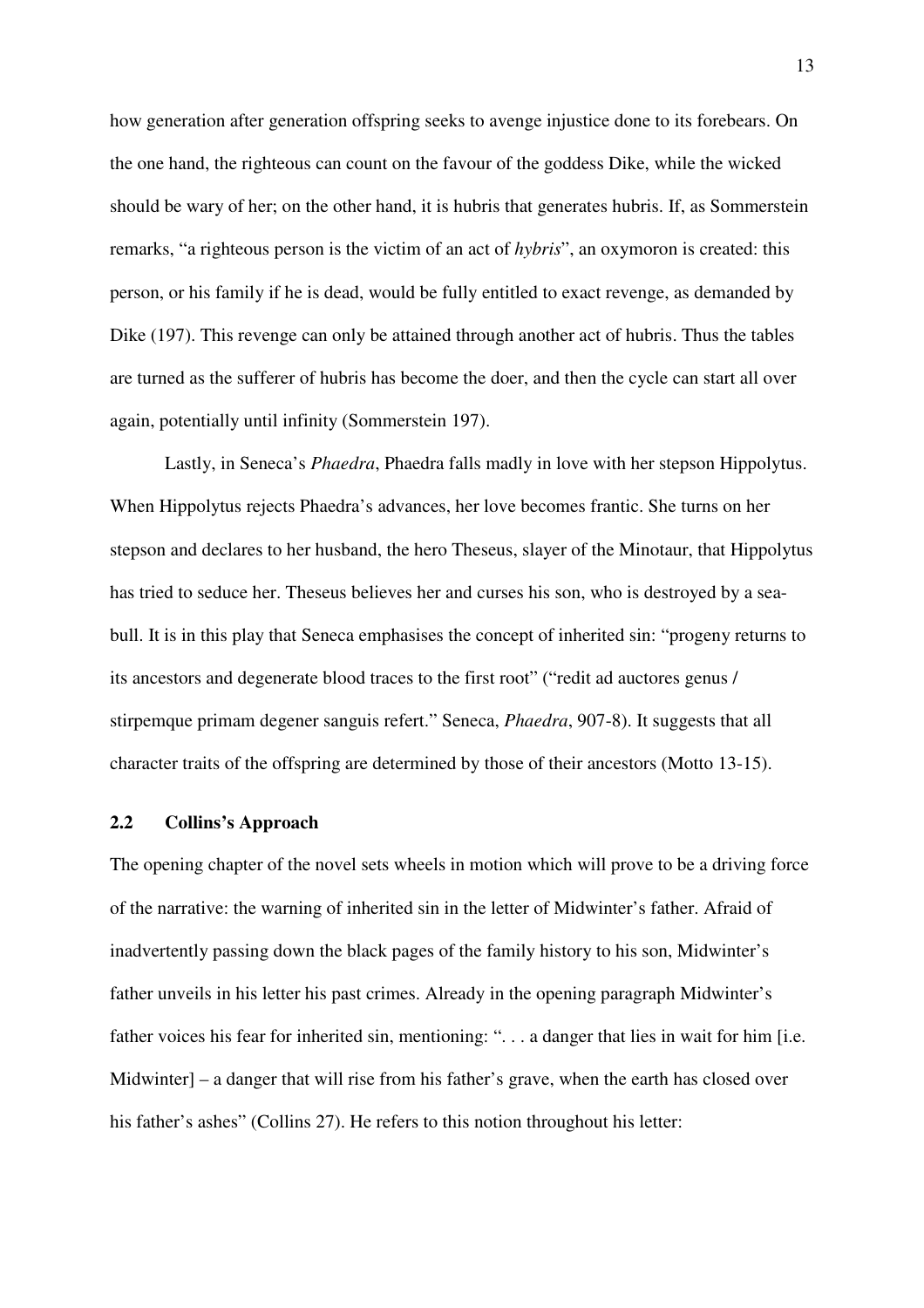how generation after generation offspring seeks to avenge injustice done to its forebears. On the one hand, the righteous can count on the favour of the goddess Dike, while the wicked should be wary of her; on the other hand, it is hubris that generates hubris. If, as Sommerstein remarks, "a righteous person is the victim of an act of *hybris*", an oxymoron is created: this person, or his family if he is dead, would be fully entitled to exact revenge, as demanded by Dike (197). This revenge can only be attained through another act of hubris. Thus the tables are turned as the sufferer of hubris has become the doer, and then the cycle can start all over again, potentially until infinity (Sommerstein 197).

Lastly, in Seneca's *Phaedra*, Phaedra falls madly in love with her stepson Hippolytus. When Hippolytus rejects Phaedra's advances, her love becomes frantic. She turns on her stepson and declares to her husband, the hero Theseus, slayer of the Minotaur, that Hippolytus has tried to seduce her. Theseus believes her and curses his son, who is destroyed by a seabull. It is in this play that Seneca emphasises the concept of inherited sin: "progeny returns to its ancestors and degenerate blood traces to the first root" ("redit ad auctores genus / stirpemque primam degener sanguis refert." Seneca, *Phaedra*, 907-8). It suggests that all character traits of the offspring are determined by those of their ancestors (Motto 13-15).

#### **2.2 Collins's Approach**

The opening chapter of the novel sets wheels in motion which will prove to be a driving force of the narrative: the warning of inherited sin in the letter of Midwinter's father. Afraid of inadvertently passing down the black pages of the family history to his son, Midwinter's father unveils in his letter his past crimes. Already in the opening paragraph Midwinter's father voices his fear for inherited sin, mentioning: "... a danger that lies in wait for him [i.e. Midwinter] – a danger that will rise from his father's grave, when the earth has closed over his father's ashes" (Collins 27). He refers to this notion throughout his letter: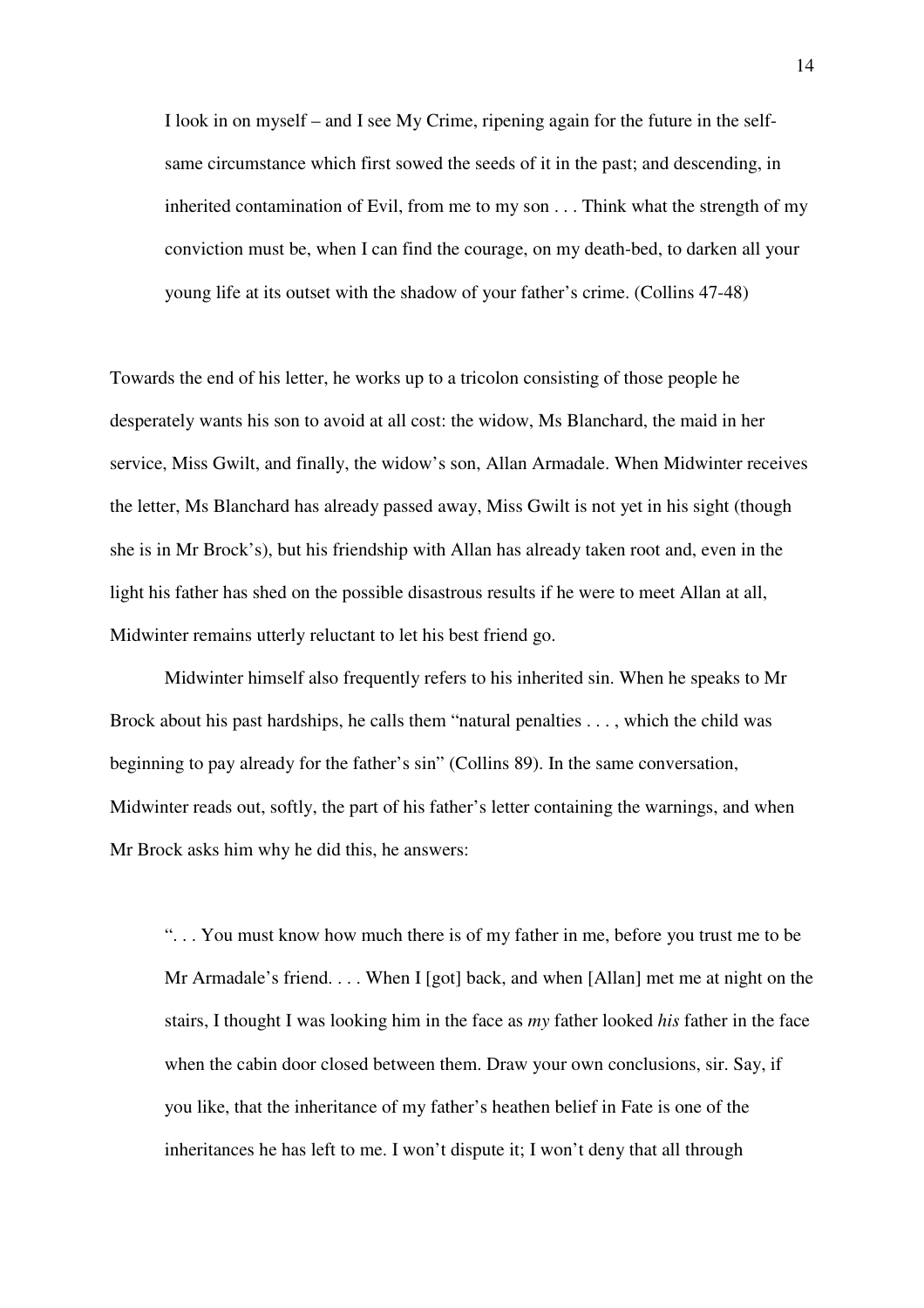I look in on myself – and I see My Crime, ripening again for the future in the selfsame circumstance which first sowed the seeds of it in the past; and descending, in inherited contamination of Evil, from me to my son . . . Think what the strength of my conviction must be, when I can find the courage, on my death-bed, to darken all your young life at its outset with the shadow of your father's crime. (Collins 47-48)

Towards the end of his letter, he works up to a tricolon consisting of those people he desperately wants his son to avoid at all cost: the widow, Ms Blanchard, the maid in her service, Miss Gwilt, and finally, the widow's son, Allan Armadale. When Midwinter receives the letter, Ms Blanchard has already passed away, Miss Gwilt is not yet in his sight (though she is in Mr Brock's), but his friendship with Allan has already taken root and, even in the light his father has shed on the possible disastrous results if he were to meet Allan at all, Midwinter remains utterly reluctant to let his best friend go.

Midwinter himself also frequently refers to his inherited sin. When he speaks to Mr Brock about his past hardships, he calls them "natural penalties . . . , which the child was beginning to pay already for the father's sin" (Collins 89). In the same conversation, Midwinter reads out, softly, the part of his father's letter containing the warnings, and when Mr Brock asks him why he did this, he answers:

". . . You must know how much there is of my father in me, before you trust me to be Mr Armadale's friend. . . . When I [got] back, and when [Allan] met me at night on the stairs, I thought I was looking him in the face as *my* father looked *his* father in the face when the cabin door closed between them. Draw your own conclusions, sir. Say, if you like, that the inheritance of my father's heathen belief in Fate is one of the inheritances he has left to me. I won't dispute it; I won't deny that all through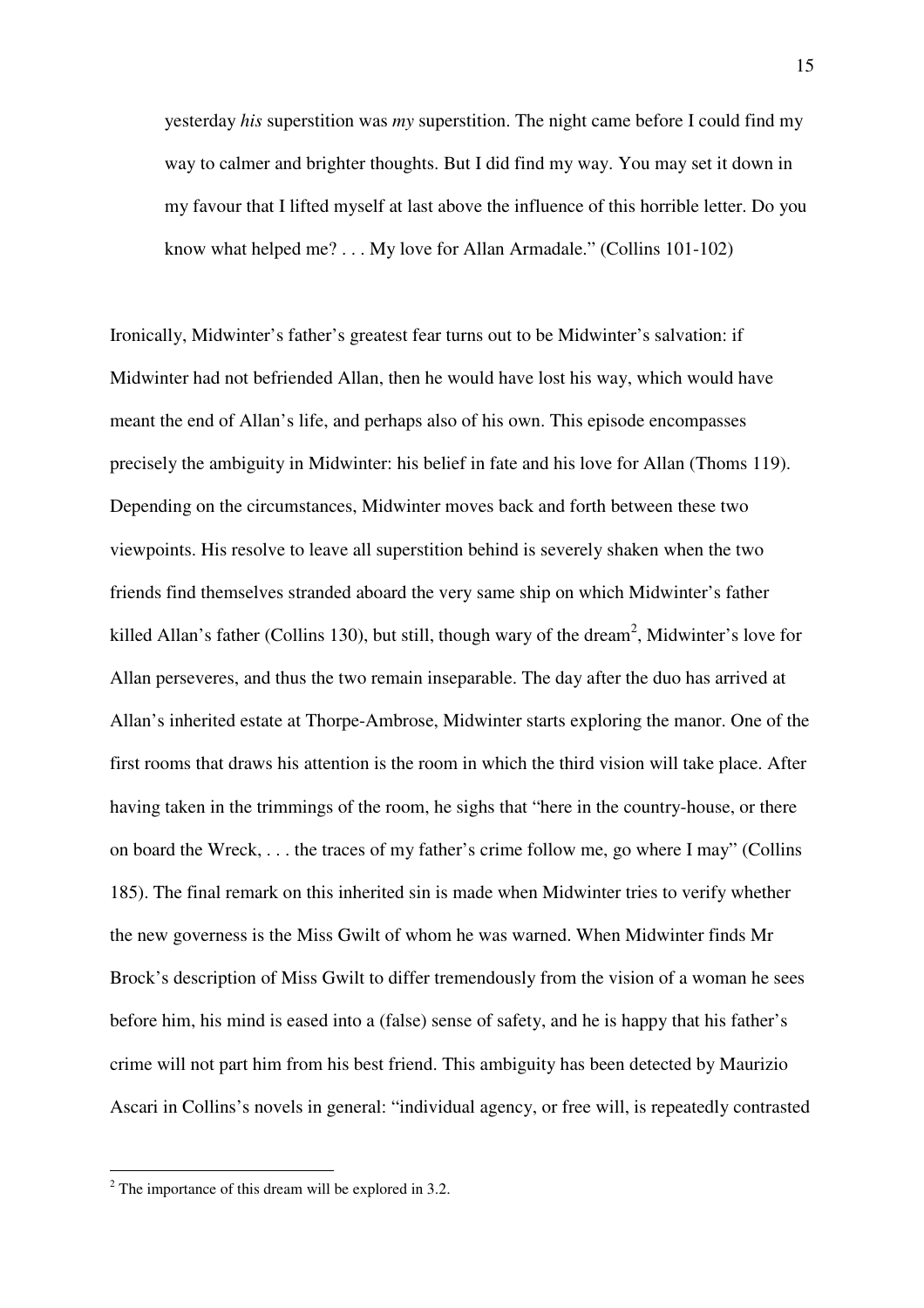yesterday *his* superstition was *my* superstition. The night came before I could find my way to calmer and brighter thoughts. But I did find my way. You may set it down in my favour that I lifted myself at last above the influence of this horrible letter. Do you know what helped me? . . . My love for Allan Armadale." (Collins 101-102)

Ironically, Midwinter's father's greatest fear turns out to be Midwinter's salvation: if Midwinter had not befriended Allan, then he would have lost his way, which would have meant the end of Allan's life, and perhaps also of his own. This episode encompasses precisely the ambiguity in Midwinter: his belief in fate and his love for Allan (Thoms 119). Depending on the circumstances, Midwinter moves back and forth between these two viewpoints. His resolve to leave all superstition behind is severely shaken when the two friends find themselves stranded aboard the very same ship on which Midwinter's father killed Allan's father (Collins 130), but still, though wary of the dream<sup>2</sup>, Midwinter's love for Allan perseveres, and thus the two remain inseparable. The day after the duo has arrived at Allan's inherited estate at Thorpe-Ambrose, Midwinter starts exploring the manor. One of the first rooms that draws his attention is the room in which the third vision will take place. After having taken in the trimmings of the room, he sighs that "here in the country-house, or there on board the Wreck, . . . the traces of my father's crime follow me, go where I may" (Collins 185). The final remark on this inherited sin is made when Midwinter tries to verify whether the new governess is the Miss Gwilt of whom he was warned. When Midwinter finds Mr Brock's description of Miss Gwilt to differ tremendously from the vision of a woman he sees before him, his mind is eased into a (false) sense of safety, and he is happy that his father's crime will not part him from his best friend. This ambiguity has been detected by Maurizio Ascari in Collins's novels in general: "individual agency, or free will, is repeatedly contrasted

<sup>&</sup>lt;sup>2</sup> The importance of this dream will be explored in 3.2.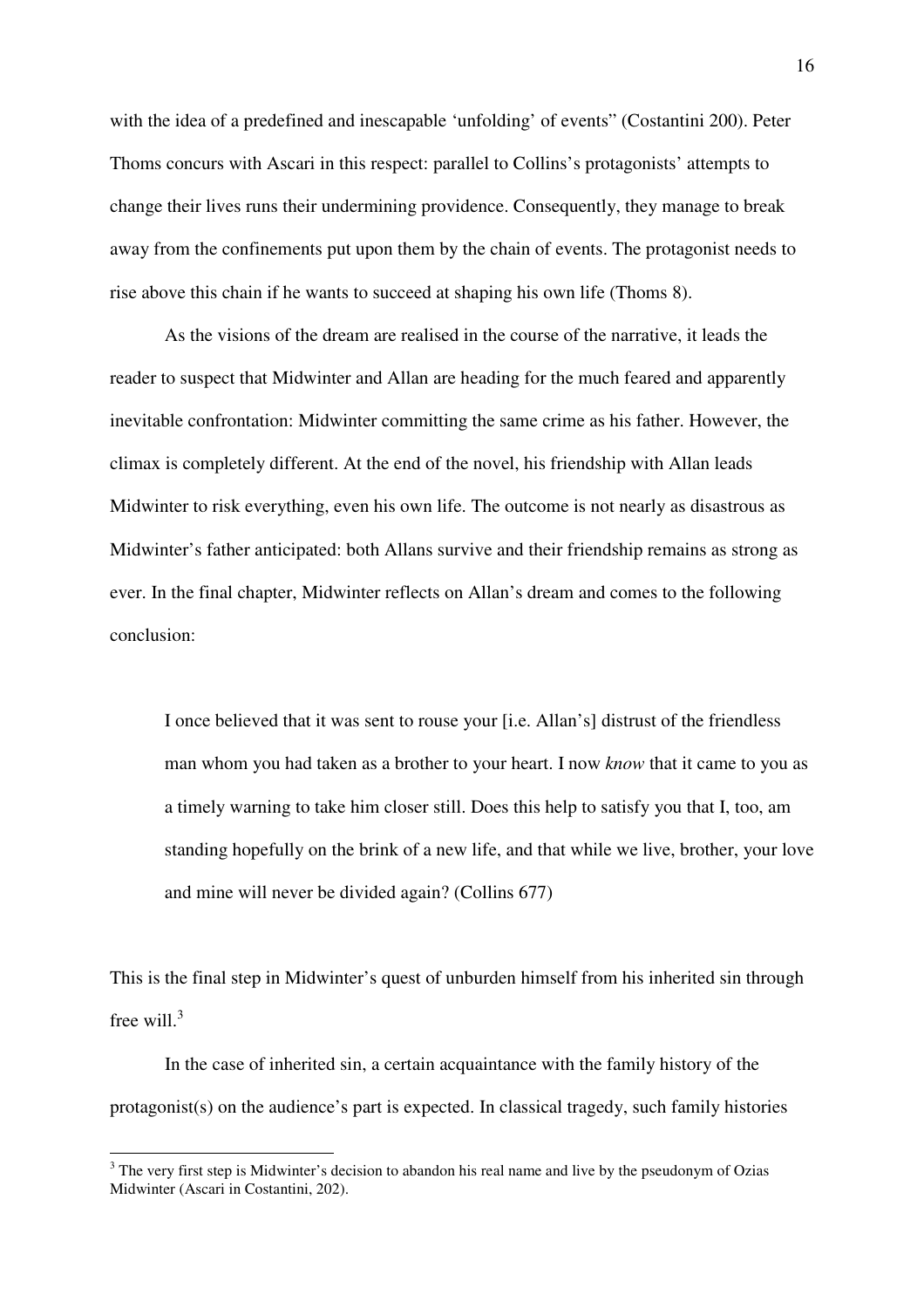with the idea of a predefined and inescapable 'unfolding' of events" (Costantini 200). Peter Thoms concurs with Ascari in this respect: parallel to Collins's protagonists' attempts to change their lives runs their undermining providence. Consequently, they manage to break away from the confinements put upon them by the chain of events. The protagonist needs to rise above this chain if he wants to succeed at shaping his own life (Thoms 8).

As the visions of the dream are realised in the course of the narrative, it leads the reader to suspect that Midwinter and Allan are heading for the much feared and apparently inevitable confrontation: Midwinter committing the same crime as his father. However, the climax is completely different. At the end of the novel, his friendship with Allan leads Midwinter to risk everything, even his own life. The outcome is not nearly as disastrous as Midwinter's father anticipated: both Allans survive and their friendship remains as strong as ever. In the final chapter, Midwinter reflects on Allan's dream and comes to the following conclusion:

I once believed that it was sent to rouse your [i.e. Allan's] distrust of the friendless man whom you had taken as a brother to your heart. I now *know* that it came to you as a timely warning to take him closer still. Does this help to satisfy you that I, too, am standing hopefully on the brink of a new life, and that while we live, brother, your love and mine will never be divided again? (Collins 677)

This is the final step in Midwinter's quest of unburden himself from his inherited sin through free will.<sup>3</sup>

In the case of inherited sin, a certain acquaintance with the family history of the protagonist(s) on the audience's part is expected. In classical tragedy, such family histories

 $\overline{a}$ 

 $3$  The very first step is Midwinter's decision to abandon his real name and live by the pseudonym of Ozias Midwinter (Ascari in Costantini, 202).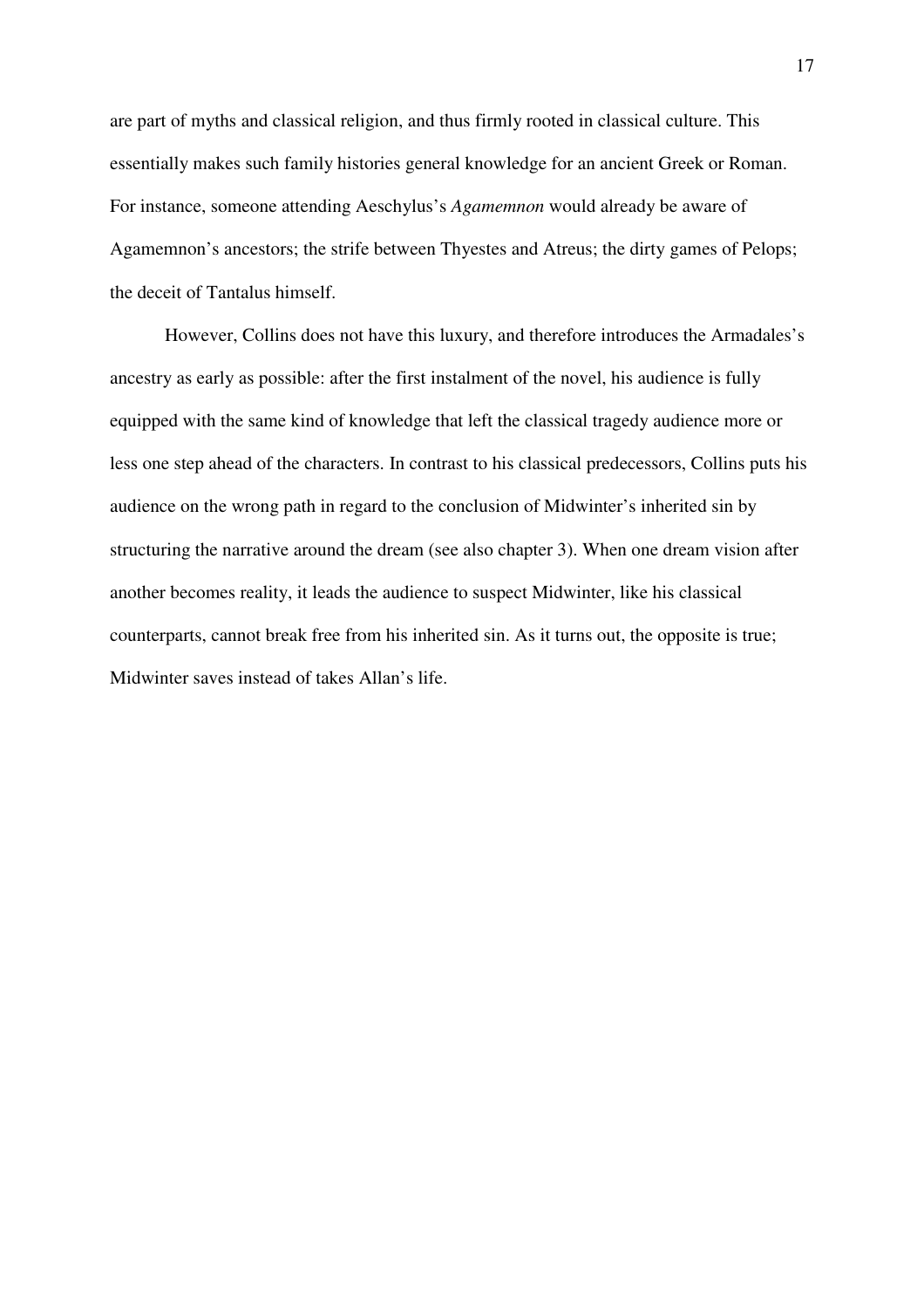are part of myths and classical religion, and thus firmly rooted in classical culture. This essentially makes such family histories general knowledge for an ancient Greek or Roman. For instance, someone attending Aeschylus's *Agamemnon* would already be aware of Agamemnon's ancestors; the strife between Thyestes and Atreus; the dirty games of Pelops; the deceit of Tantalus himself.

However, Collins does not have this luxury, and therefore introduces the Armadales's ancestry as early as possible: after the first instalment of the novel, his audience is fully equipped with the same kind of knowledge that left the classical tragedy audience more or less one step ahead of the characters. In contrast to his classical predecessors, Collins puts his audience on the wrong path in regard to the conclusion of Midwinter's inherited sin by structuring the narrative around the dream (see also chapter 3). When one dream vision after another becomes reality, it leads the audience to suspect Midwinter, like his classical counterparts, cannot break free from his inherited sin. As it turns out, the opposite is true; Midwinter saves instead of takes Allan's life.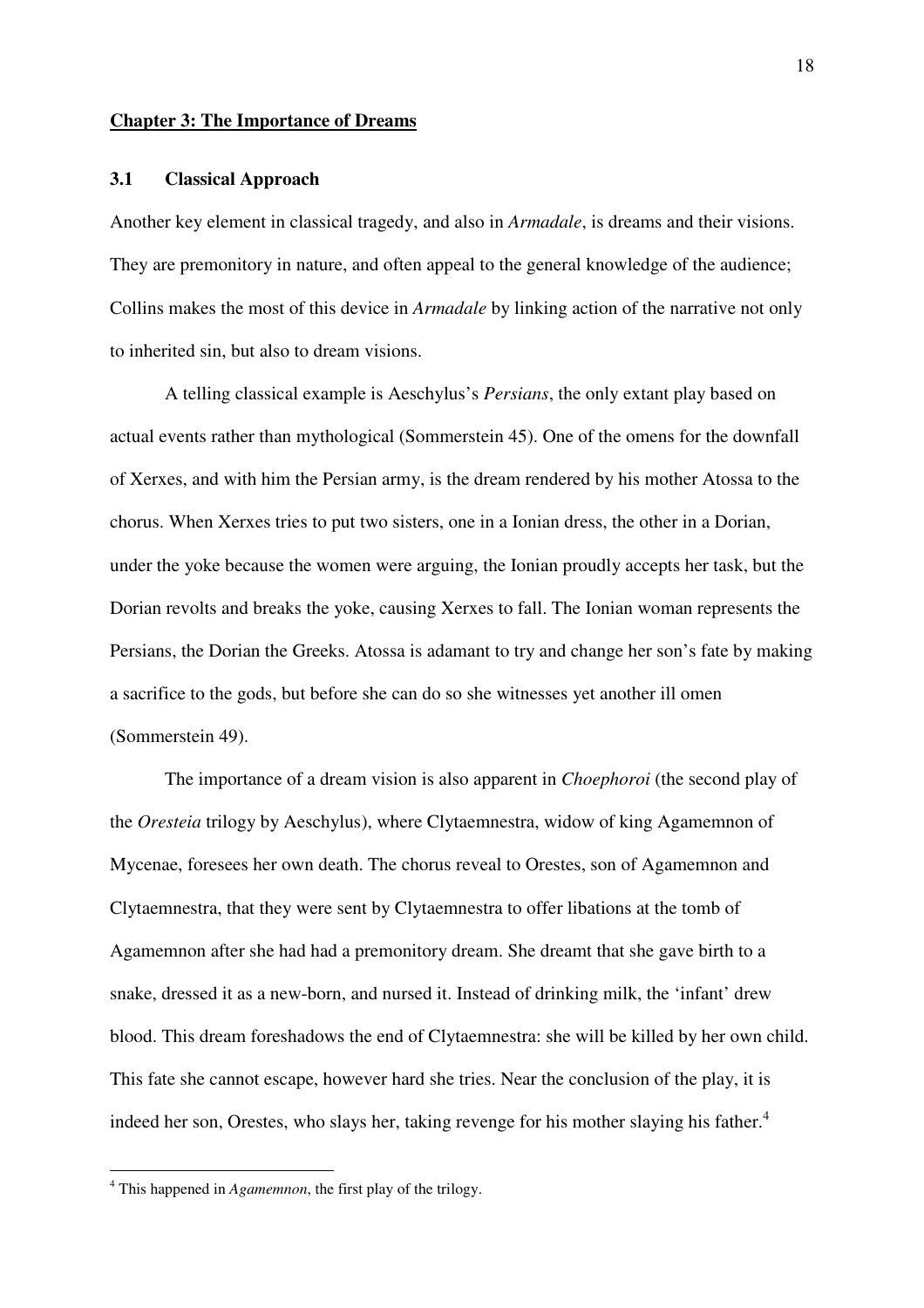#### **Chapter 3: The Importance of Dreams**

#### **3.1 Classical Approach**

Another key element in classical tragedy, and also in *Armadale*, is dreams and their visions. They are premonitory in nature, and often appeal to the general knowledge of the audience; Collins makes the most of this device in *Armadale* by linking action of the narrative not only to inherited sin, but also to dream visions.

A telling classical example is Aeschylus's *Persians*, the only extant play based on actual events rather than mythological (Sommerstein 45). One of the omens for the downfall of Xerxes, and with him the Persian army, is the dream rendered by his mother Atossa to the chorus. When Xerxes tries to put two sisters, one in a Ionian dress, the other in a Dorian, under the yoke because the women were arguing, the Ionian proudly accepts her task, but the Dorian revolts and breaks the yoke, causing Xerxes to fall. The Ionian woman represents the Persians, the Dorian the Greeks. Atossa is adamant to try and change her son's fate by making a sacrifice to the gods, but before she can do so she witnesses yet another ill omen (Sommerstein 49).

The importance of a dream vision is also apparent in *Choephoroi* (the second play of the *Oresteia* trilogy by Aeschylus), where Clytaemnestra, widow of king Agamemnon of Mycenae, foresees her own death. The chorus reveal to Orestes, son of Agamemnon and Clytaemnestra, that they were sent by Clytaemnestra to offer libations at the tomb of Agamemnon after she had had a premonitory dream. She dreamt that she gave birth to a snake, dressed it as a new-born, and nursed it. Instead of drinking milk, the 'infant' drew blood. This dream foreshadows the end of Clytaemnestra: she will be killed by her own child. This fate she cannot escape, however hard she tries. Near the conclusion of the play, it is indeed her son, Orestes, who slays her, taking revenge for his mother slaying his father.<sup>4</sup>

 4 This happened in *Agamemnon*, the first play of the trilogy.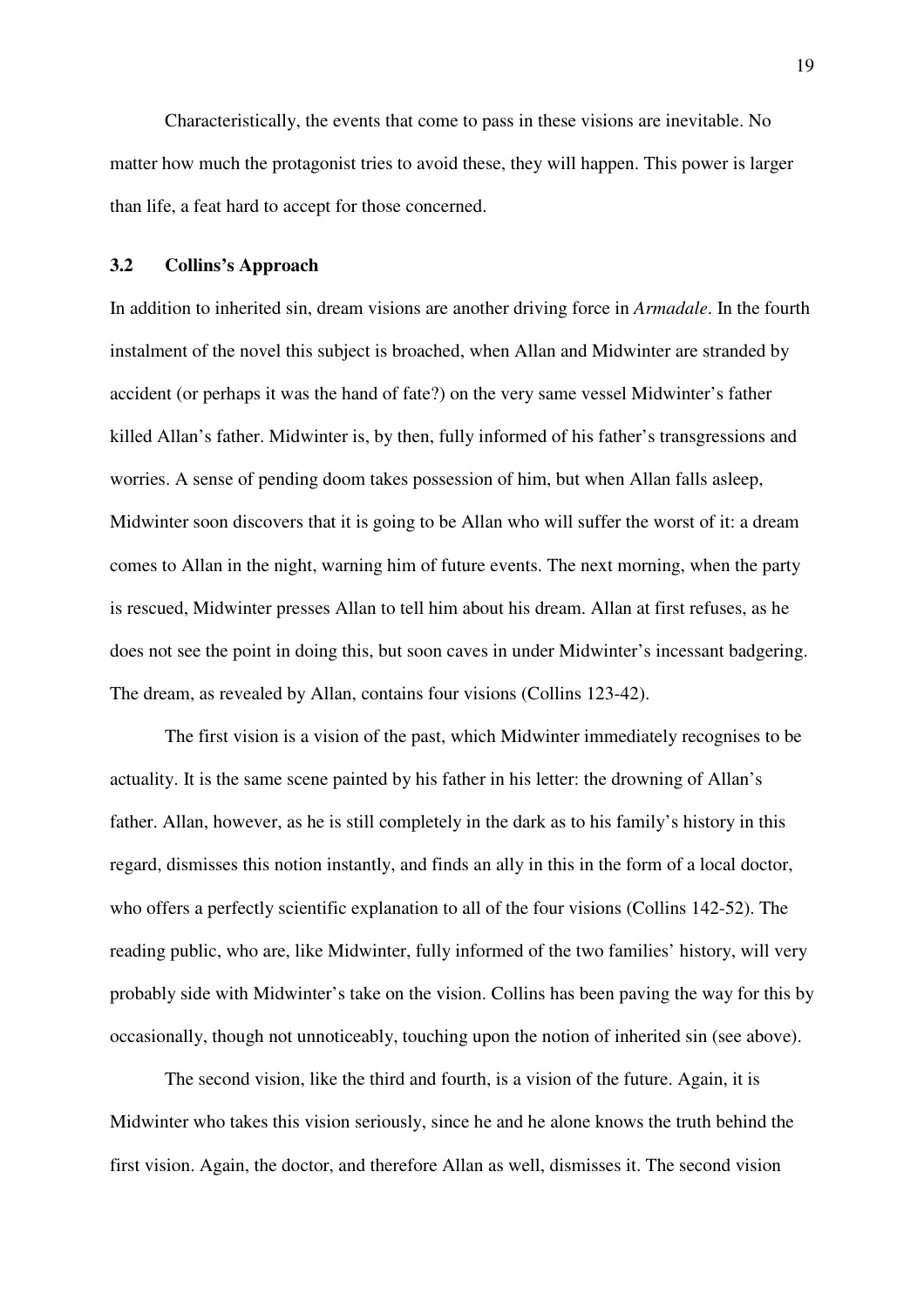Characteristically, the events that come to pass in these visions are inevitable. No matter how much the protagonist tries to avoid these, they will happen. This power is larger than life, a feat hard to accept for those concerned.

#### **3.2 Collins's Approach**

In addition to inherited sin, dream visions are another driving force in *Armadale*. In the fourth instalment of the novel this subject is broached, when Allan and Midwinter are stranded by accident (or perhaps it was the hand of fate?) on the very same vessel Midwinter's father killed Allan's father. Midwinter is, by then, fully informed of his father's transgressions and worries. A sense of pending doom takes possession of him, but when Allan falls asleep, Midwinter soon discovers that it is going to be Allan who will suffer the worst of it: a dream comes to Allan in the night, warning him of future events. The next morning, when the party is rescued, Midwinter presses Allan to tell him about his dream. Allan at first refuses, as he does not see the point in doing this, but soon caves in under Midwinter's incessant badgering. The dream, as revealed by Allan, contains four visions (Collins 123-42).

The first vision is a vision of the past, which Midwinter immediately recognises to be actuality. It is the same scene painted by his father in his letter: the drowning of Allan's father. Allan, however, as he is still completely in the dark as to his family's history in this regard, dismisses this notion instantly, and finds an ally in this in the form of a local doctor, who offers a perfectly scientific explanation to all of the four visions (Collins 142-52). The reading public, who are, like Midwinter, fully informed of the two families' history, will very probably side with Midwinter's take on the vision. Collins has been paving the way for this by occasionally, though not unnoticeably, touching upon the notion of inherited sin (see above).

The second vision, like the third and fourth, is a vision of the future. Again, it is Midwinter who takes this vision seriously, since he and he alone knows the truth behind the first vision. Again, the doctor, and therefore Allan as well, dismisses it. The second vision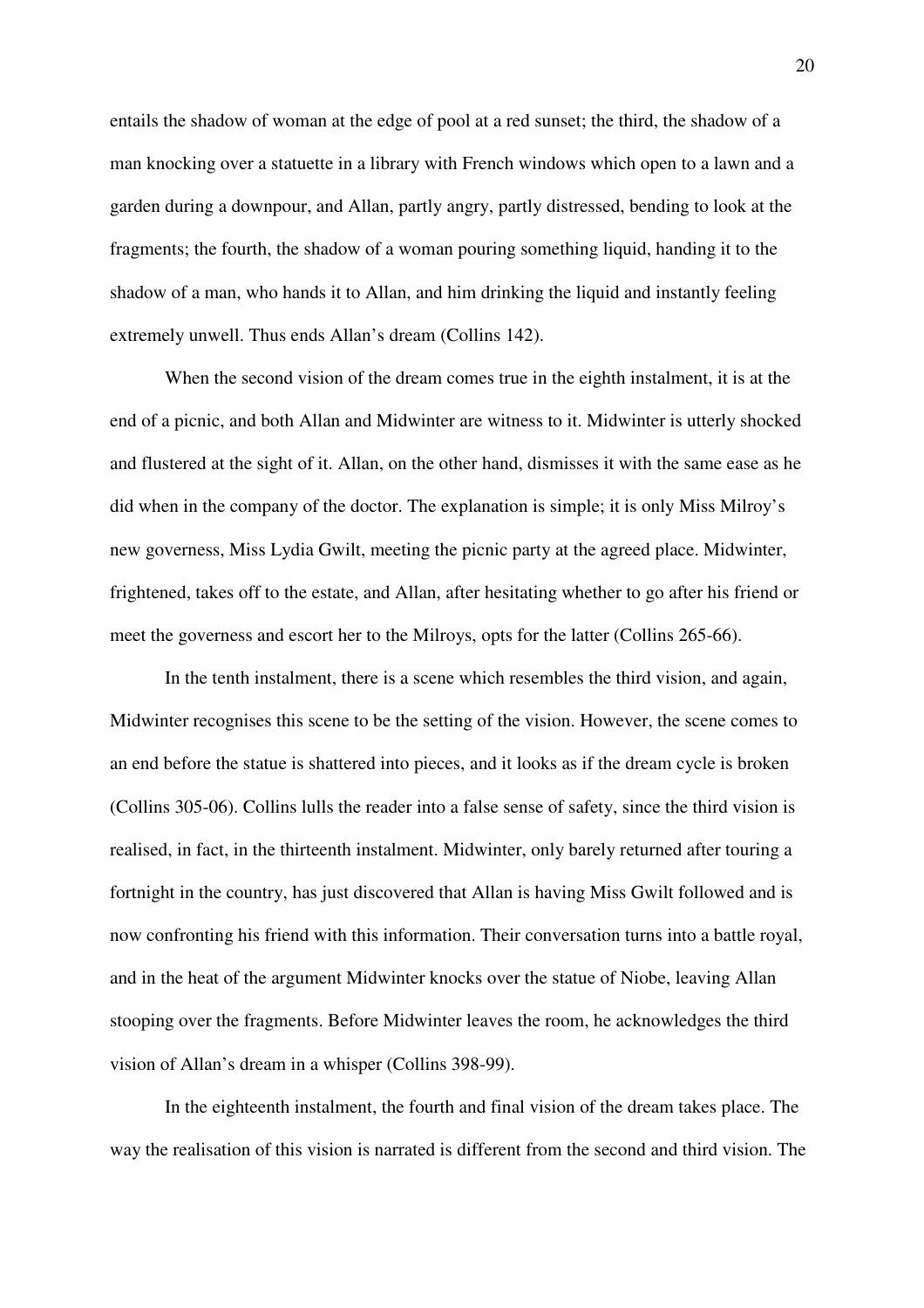entails the shadow of woman at the edge of pool at a red sunset; the third, the shadow of a man knocking over a statuette in a library with French windows which open to a lawn and a garden during a downpour, and Allan, partly angry, partly distressed, bending to look at the fragments; the fourth, the shadow of a woman pouring something liquid, handing it to the shadow of a man, who hands it to Allan, and him drinking the liquid and instantly feeling extremely unwell. Thus ends Allan's dream (Collins 142).

When the second vision of the dream comes true in the eighth instalment, it is at the end of a picnic, and both Allan and Midwinter are witness to it. Midwinter is utterly shocked and flustered at the sight of it. Allan, on the other hand, dismisses it with the same ease as he did when in the company of the doctor. The explanation is simple; it is only Miss Milroy's new governess, Miss Lydia Gwilt, meeting the picnic party at the agreed place. Midwinter, frightened, takes off to the estate, and Allan, after hesitating whether to go after his friend or meet the governess and escort her to the Milroys, opts for the latter (Collins 265-66).

In the tenth instalment, there is a scene which resembles the third vision, and again, Midwinter recognises this scene to be the setting of the vision. However, the scene comes to an end before the statue is shattered into pieces, and it looks as if the dream cycle is broken (Collins 305-06). Collins lulls the reader into a false sense of safety, since the third vision is realised, in fact, in the thirteenth instalment. Midwinter, only barely returned after touring a fortnight in the country, has just discovered that Allan is having Miss Gwilt followed and is now confronting his friend with this information. Their conversation turns into a battle royal, and in the heat of the argument Midwinter knocks over the statue of Niobe, leaving Allan stooping over the fragments. Before Midwinter leaves the room, he acknowledges the third vision of Allan's dream in a whisper (Collins 398-99).

In the eighteenth instalment, the fourth and final vision of the dream takes place. The way the realisation of this vision is narrated is different from the second and third vision. The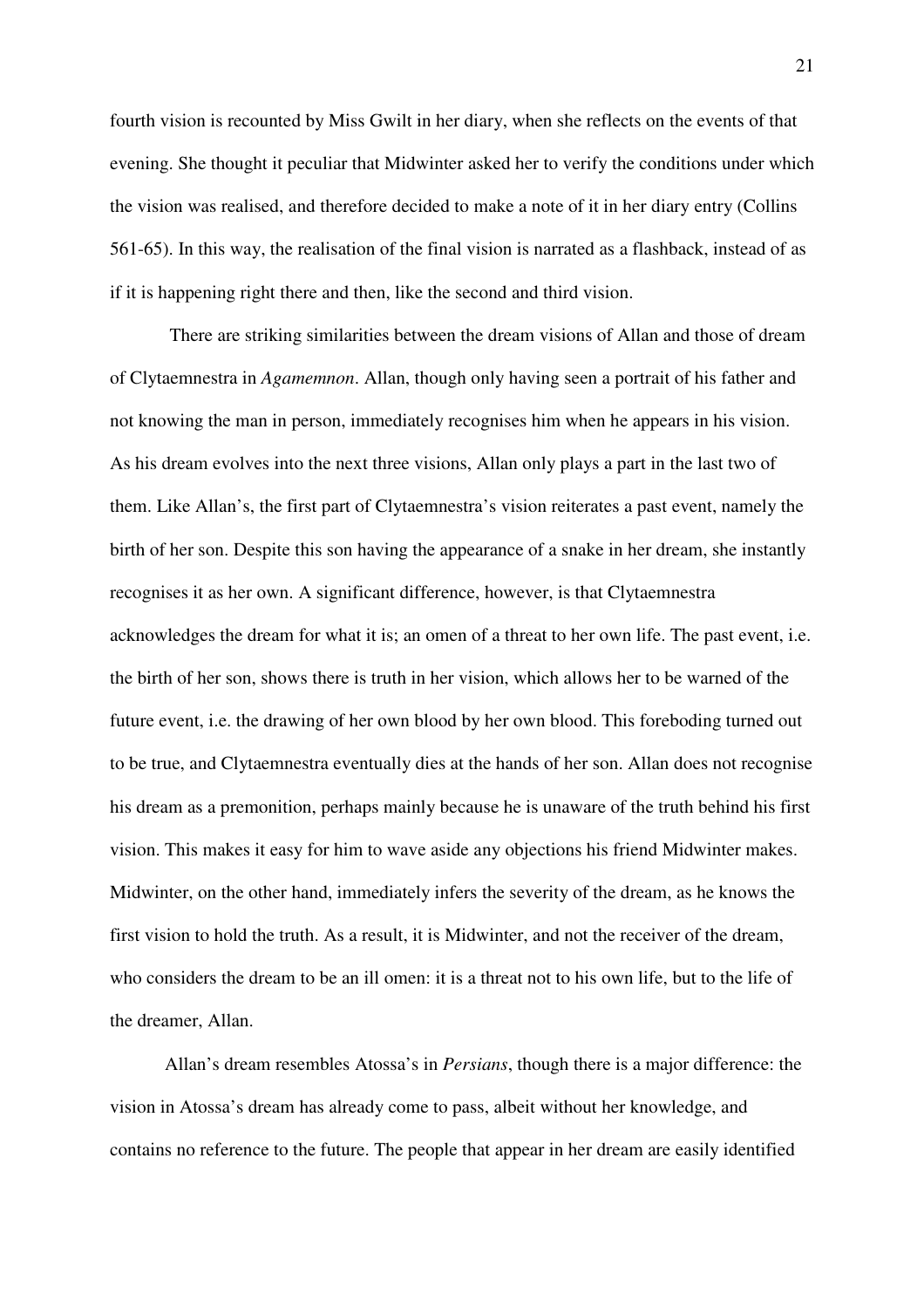fourth vision is recounted by Miss Gwilt in her diary, when she reflects on the events of that evening. She thought it peculiar that Midwinter asked her to verify the conditions under which the vision was realised, and therefore decided to make a note of it in her diary entry (Collins 561-65). In this way, the realisation of the final vision is narrated as a flashback, instead of as if it is happening right there and then, like the second and third vision.

 There are striking similarities between the dream visions of Allan and those of dream of Clytaemnestra in *Agamemnon*. Allan, though only having seen a portrait of his father and not knowing the man in person, immediately recognises him when he appears in his vision. As his dream evolves into the next three visions, Allan only plays a part in the last two of them. Like Allan's, the first part of Clytaemnestra's vision reiterates a past event, namely the birth of her son. Despite this son having the appearance of a snake in her dream, she instantly recognises it as her own. A significant difference, however, is that Clytaemnestra acknowledges the dream for what it is; an omen of a threat to her own life. The past event, i.e. the birth of her son, shows there is truth in her vision, which allows her to be warned of the future event, i.e. the drawing of her own blood by her own blood. This foreboding turned out to be true, and Clytaemnestra eventually dies at the hands of her son. Allan does not recognise his dream as a premonition, perhaps mainly because he is unaware of the truth behind his first vision. This makes it easy for him to wave aside any objections his friend Midwinter makes. Midwinter, on the other hand, immediately infers the severity of the dream, as he knows the first vision to hold the truth. As a result, it is Midwinter, and not the receiver of the dream, who considers the dream to be an ill omen: it is a threat not to his own life, but to the life of the dreamer, Allan.

Allan's dream resembles Atossa's in *Persians*, though there is a major difference: the vision in Atossa's dream has already come to pass, albeit without her knowledge, and contains no reference to the future. The people that appear in her dream are easily identified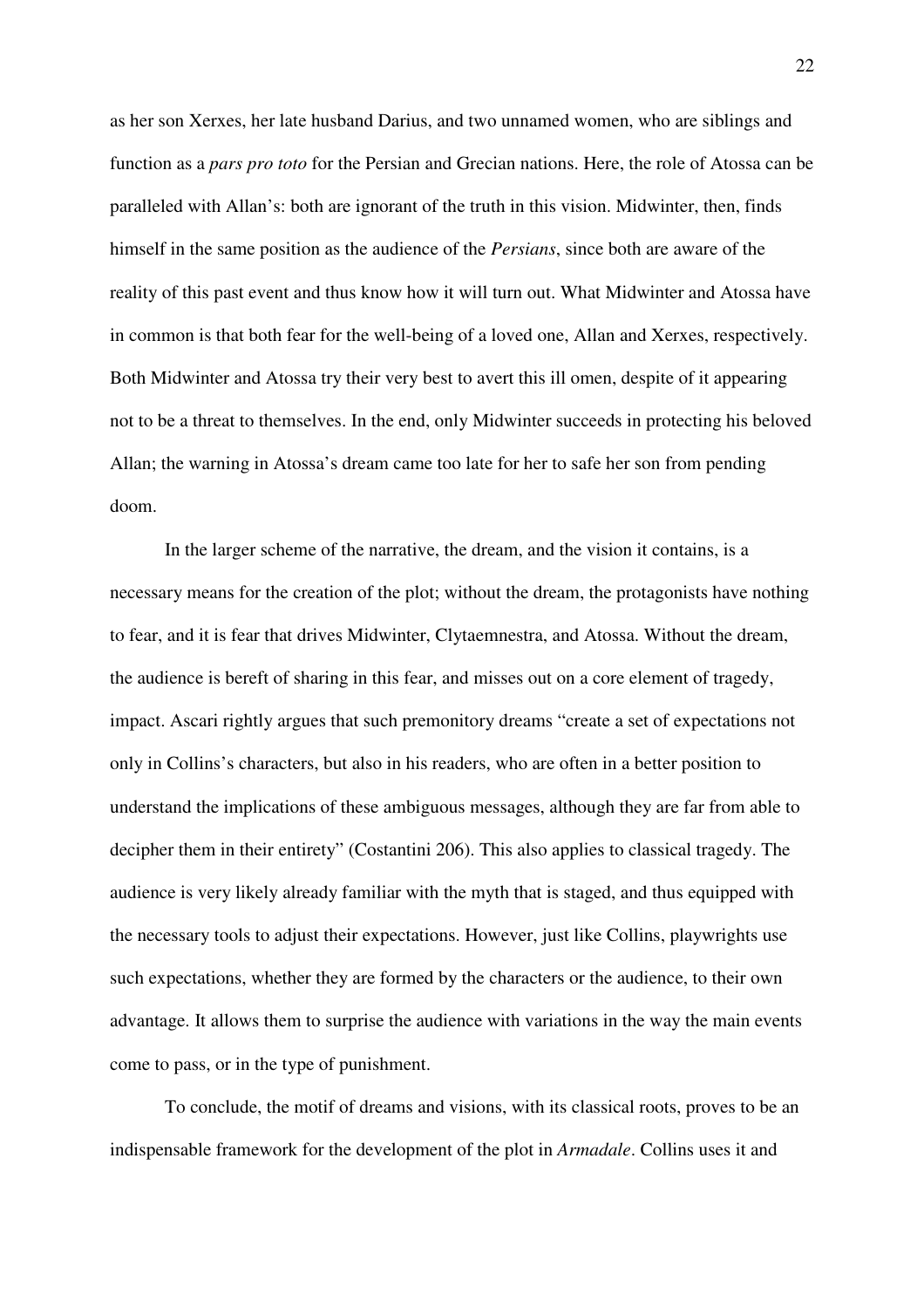as her son Xerxes, her late husband Darius, and two unnamed women, who are siblings and function as a *pars pro toto* for the Persian and Grecian nations. Here, the role of Atossa can be paralleled with Allan's: both are ignorant of the truth in this vision. Midwinter, then, finds himself in the same position as the audience of the *Persians*, since both are aware of the reality of this past event and thus know how it will turn out. What Midwinter and Atossa have in common is that both fear for the well-being of a loved one, Allan and Xerxes, respectively. Both Midwinter and Atossa try their very best to avert this ill omen, despite of it appearing not to be a threat to themselves. In the end, only Midwinter succeeds in protecting his beloved Allan; the warning in Atossa's dream came too late for her to safe her son from pending doom.

In the larger scheme of the narrative, the dream, and the vision it contains, is a necessary means for the creation of the plot; without the dream, the protagonists have nothing to fear, and it is fear that drives Midwinter, Clytaemnestra, and Atossa. Without the dream, the audience is bereft of sharing in this fear, and misses out on a core element of tragedy, impact. Ascari rightly argues that such premonitory dreams "create a set of expectations not only in Collins's characters, but also in his readers, who are often in a better position to understand the implications of these ambiguous messages, although they are far from able to decipher them in their entirety" (Costantini 206). This also applies to classical tragedy. The audience is very likely already familiar with the myth that is staged, and thus equipped with the necessary tools to adjust their expectations. However, just like Collins, playwrights use such expectations, whether they are formed by the characters or the audience, to their own advantage. It allows them to surprise the audience with variations in the way the main events come to pass, or in the type of punishment.

To conclude, the motif of dreams and visions, with its classical roots, proves to be an indispensable framework for the development of the plot in *Armadale*. Collins uses it and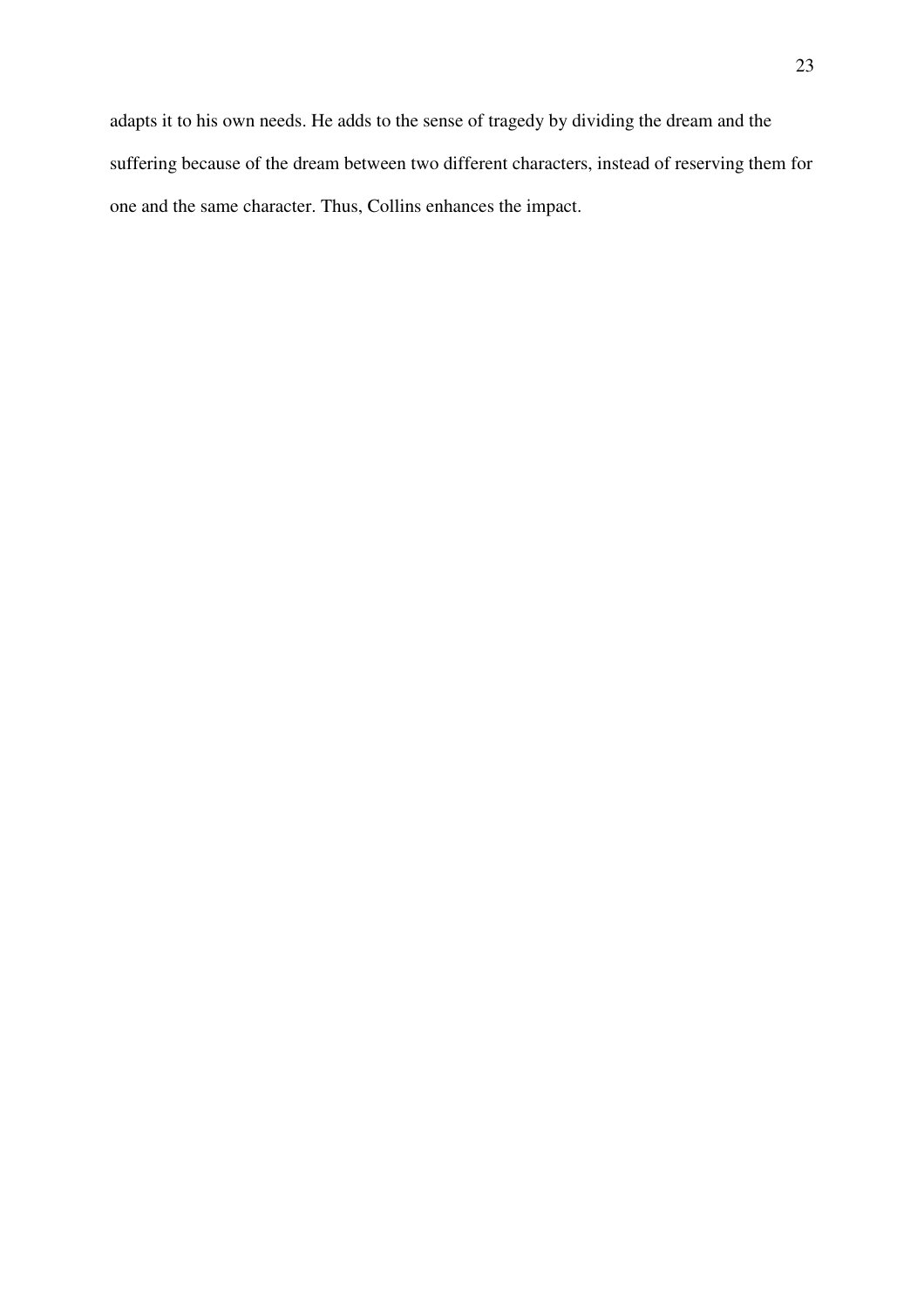adapts it to his own needs. He adds to the sense of tragedy by dividing the dream and the suffering because of the dream between two different characters, instead of reserving them for one and the same character. Thus, Collins enhances the impact.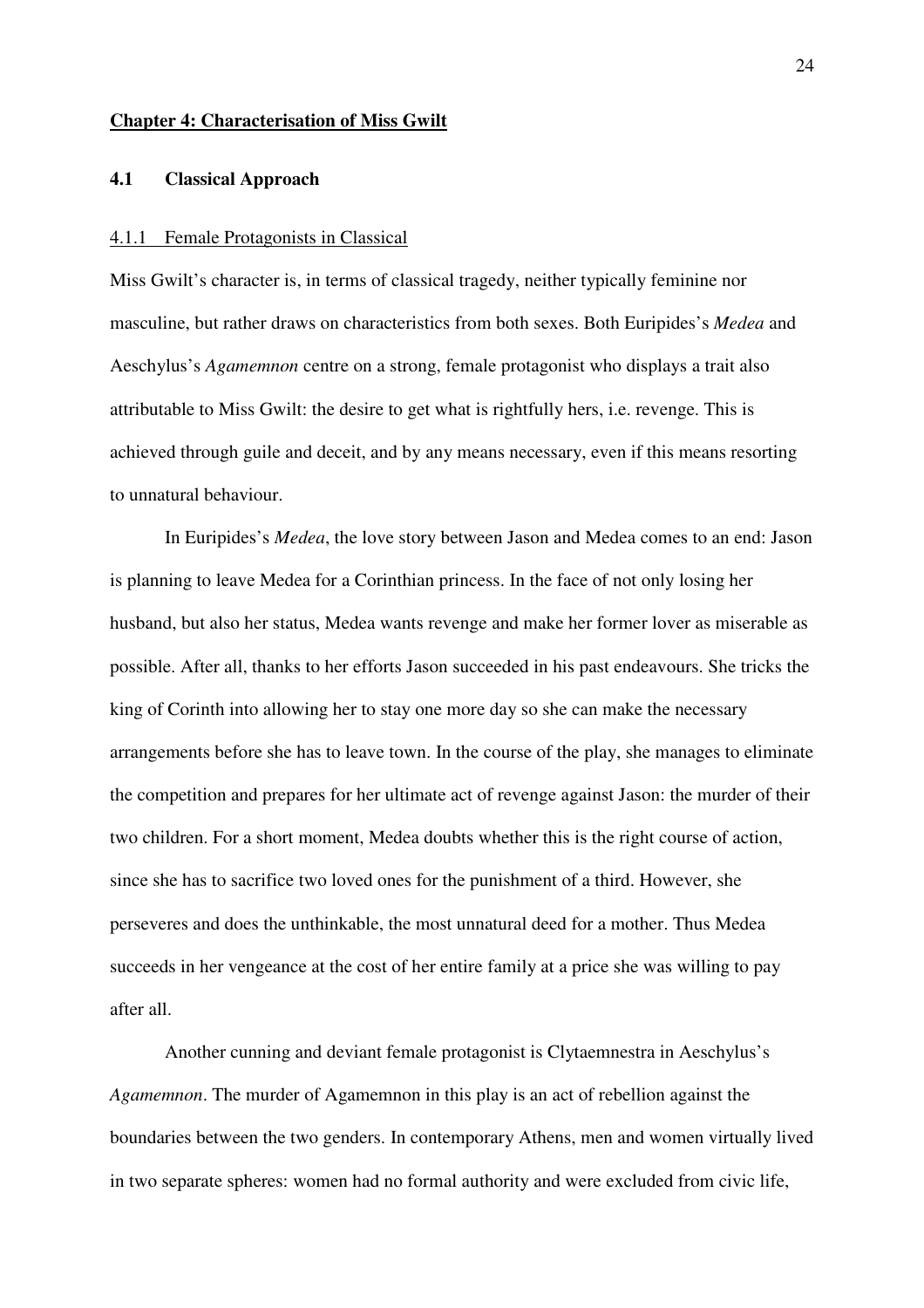#### **Chapter 4: Characterisation of Miss Gwilt**

#### **4.1 Classical Approach**

#### 4.1.1 Female Protagonists in Classical

Miss Gwilt's character is, in terms of classical tragedy, neither typically feminine nor masculine, but rather draws on characteristics from both sexes. Both Euripides's *Medea* and Aeschylus's *Agamemnon* centre on a strong, female protagonist who displays a trait also attributable to Miss Gwilt: the desire to get what is rightfully hers, i.e. revenge. This is achieved through guile and deceit, and by any means necessary, even if this means resorting to unnatural behaviour.

 In Euripides's *Medea*, the love story between Jason and Medea comes to an end: Jason is planning to leave Medea for a Corinthian princess. In the face of not only losing her husband, but also her status, Medea wants revenge and make her former lover as miserable as possible. After all, thanks to her efforts Jason succeeded in his past endeavours. She tricks the king of Corinth into allowing her to stay one more day so she can make the necessary arrangements before she has to leave town. In the course of the play, she manages to eliminate the competition and prepares for her ultimate act of revenge against Jason: the murder of their two children. For a short moment, Medea doubts whether this is the right course of action, since she has to sacrifice two loved ones for the punishment of a third. However, she perseveres and does the unthinkable, the most unnatural deed for a mother. Thus Medea succeeds in her vengeance at the cost of her entire family at a price she was willing to pay after all.

Another cunning and deviant female protagonist is Clytaemnestra in Aeschylus's *Agamemnon*. The murder of Agamemnon in this play is an act of rebellion against the boundaries between the two genders. In contemporary Athens, men and women virtually lived in two separate spheres: women had no formal authority and were excluded from civic life,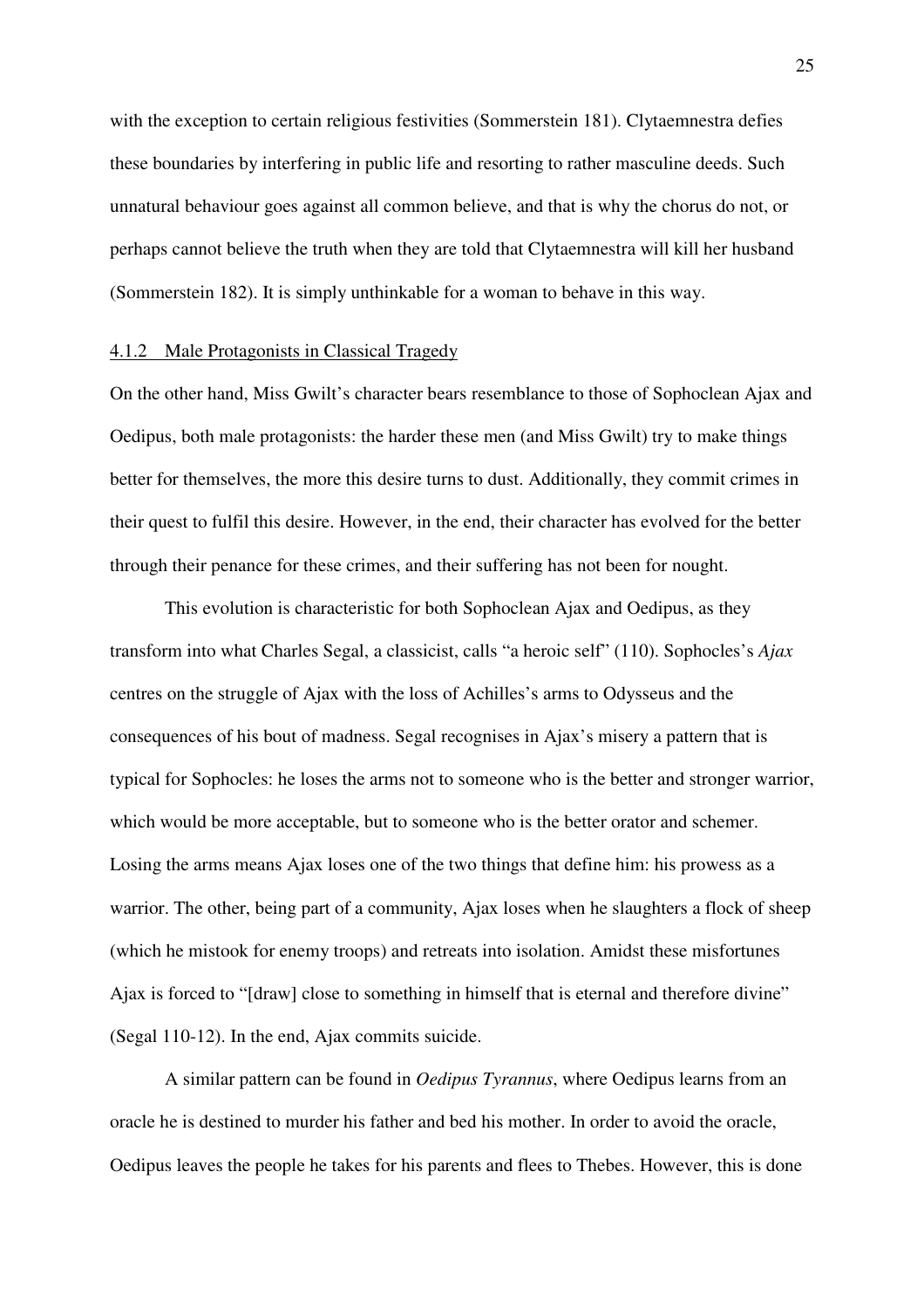with the exception to certain religious festivities (Sommerstein 181). Clytaemnestra defies these boundaries by interfering in public life and resorting to rather masculine deeds. Such unnatural behaviour goes against all common believe, and that is why the chorus do not, or perhaps cannot believe the truth when they are told that Clytaemnestra will kill her husband (Sommerstein 182). It is simply unthinkable for a woman to behave in this way.

#### 4.1.2 Male Protagonists in Classical Tragedy

On the other hand, Miss Gwilt's character bears resemblance to those of Sophoclean Ajax and Oedipus, both male protagonists: the harder these men (and Miss Gwilt) try to make things better for themselves, the more this desire turns to dust. Additionally, they commit crimes in their quest to fulfil this desire. However, in the end, their character has evolved for the better through their penance for these crimes, and their suffering has not been for nought.

This evolution is characteristic for both Sophoclean Ajax and Oedipus, as they transform into what Charles Segal, a classicist, calls "a heroic self" (110). Sophocles's *Ajax* centres on the struggle of Ajax with the loss of Achilles's arms to Odysseus and the consequences of his bout of madness. Segal recognises in Ajax's misery a pattern that is typical for Sophocles: he loses the arms not to someone who is the better and stronger warrior, which would be more acceptable, but to someone who is the better orator and schemer. Losing the arms means Ajax loses one of the two things that define him: his prowess as a warrior. The other, being part of a community, Ajax loses when he slaughters a flock of sheep (which he mistook for enemy troops) and retreats into isolation. Amidst these misfortunes Ajax is forced to "[draw] close to something in himself that is eternal and therefore divine" (Segal 110-12). In the end, Ajax commits suicide.

A similar pattern can be found in *Oedipus Tyrannus*, where Oedipus learns from an oracle he is destined to murder his father and bed his mother. In order to avoid the oracle, Oedipus leaves the people he takes for his parents and flees to Thebes. However, this is done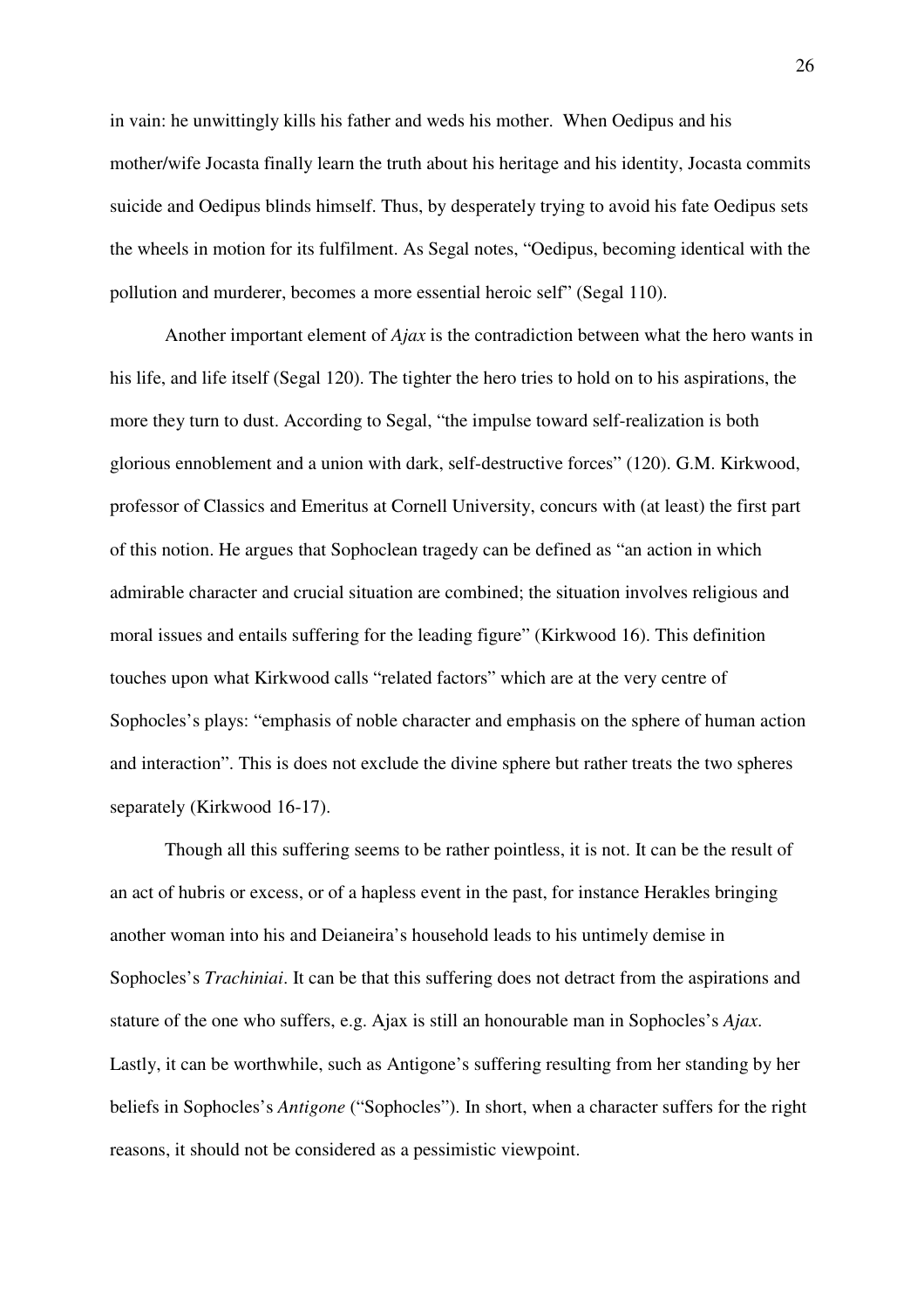in vain: he unwittingly kills his father and weds his mother. When Oedipus and his mother/wife Jocasta finally learn the truth about his heritage and his identity, Jocasta commits suicide and Oedipus blinds himself. Thus, by desperately trying to avoid his fate Oedipus sets the wheels in motion for its fulfilment. As Segal notes, "Oedipus, becoming identical with the pollution and murderer, becomes a more essential heroic self" (Segal 110).

Another important element of *Ajax* is the contradiction between what the hero wants in his life, and life itself (Segal 120). The tighter the hero tries to hold on to his aspirations, the more they turn to dust. According to Segal, "the impulse toward self-realization is both glorious ennoblement and a union with dark, self-destructive forces" (120). G.M. Kirkwood, professor of Classics and Emeritus at Cornell University, concurs with (at least) the first part of this notion. He argues that Sophoclean tragedy can be defined as "an action in which admirable character and crucial situation are combined; the situation involves religious and moral issues and entails suffering for the leading figure" (Kirkwood 16). This definition touches upon what Kirkwood calls "related factors" which are at the very centre of Sophocles's plays: "emphasis of noble character and emphasis on the sphere of human action and interaction". This is does not exclude the divine sphere but rather treats the two spheres separately (Kirkwood 16-17).

Though all this suffering seems to be rather pointless, it is not. It can be the result of an act of hubris or excess, or of a hapless event in the past, for instance Herakles bringing another woman into his and Deianeira's household leads to his untimely demise in Sophocles's *Trachiniai*. It can be that this suffering does not detract from the aspirations and stature of the one who suffers, e.g. Ajax is still an honourable man in Sophocles's *Ajax*. Lastly, it can be worthwhile, such as Antigone's suffering resulting from her standing by her beliefs in Sophocles's *Antigone* ("Sophocles"). In short, when a character suffers for the right reasons, it should not be considered as a pessimistic viewpoint.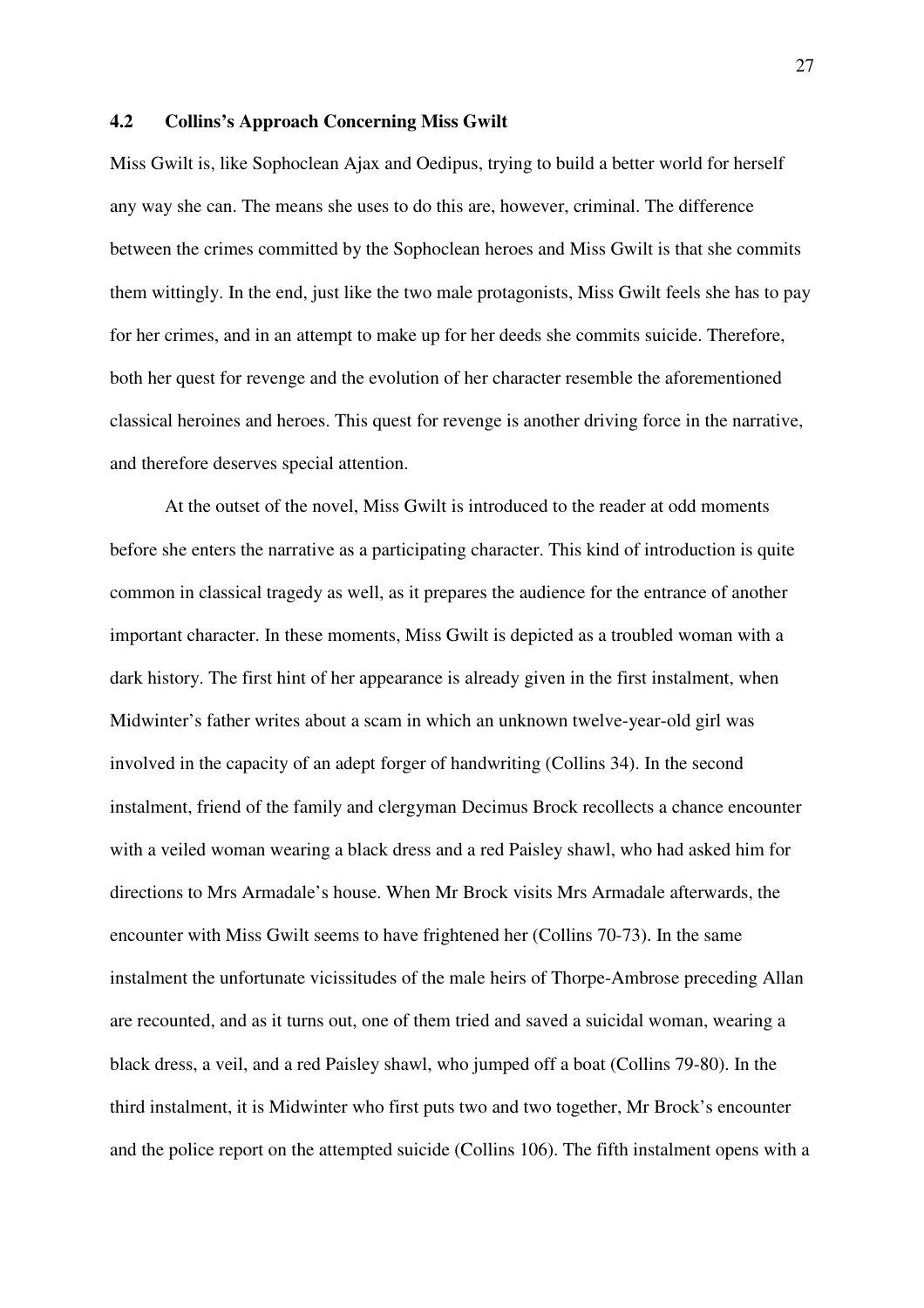#### **4.2 Collins's Approach Concerning Miss Gwilt**

Miss Gwilt is, like Sophoclean Ajax and Oedipus, trying to build a better world for herself any way she can. The means she uses to do this are, however, criminal. The difference between the crimes committed by the Sophoclean heroes and Miss Gwilt is that she commits them wittingly. In the end, just like the two male protagonists, Miss Gwilt feels she has to pay for her crimes, and in an attempt to make up for her deeds she commits suicide. Therefore, both her quest for revenge and the evolution of her character resemble the aforementioned classical heroines and heroes. This quest for revenge is another driving force in the narrative, and therefore deserves special attention.

At the outset of the novel, Miss Gwilt is introduced to the reader at odd moments before she enters the narrative as a participating character. This kind of introduction is quite common in classical tragedy as well, as it prepares the audience for the entrance of another important character. In these moments, Miss Gwilt is depicted as a troubled woman with a dark history. The first hint of her appearance is already given in the first instalment, when Midwinter's father writes about a scam in which an unknown twelve-year-old girl was involved in the capacity of an adept forger of handwriting (Collins 34). In the second instalment, friend of the family and clergyman Decimus Brock recollects a chance encounter with a veiled woman wearing a black dress and a red Paisley shawl, who had asked him for directions to Mrs Armadale's house. When Mr Brock visits Mrs Armadale afterwards, the encounter with Miss Gwilt seems to have frightened her (Collins 70-73). In the same instalment the unfortunate vicissitudes of the male heirs of Thorpe-Ambrose preceding Allan are recounted, and as it turns out, one of them tried and saved a suicidal woman, wearing a black dress, a veil, and a red Paisley shawl, who jumped off a boat (Collins 79-80). In the third instalment, it is Midwinter who first puts two and two together, Mr Brock's encounter and the police report on the attempted suicide (Collins 106). The fifth instalment opens with a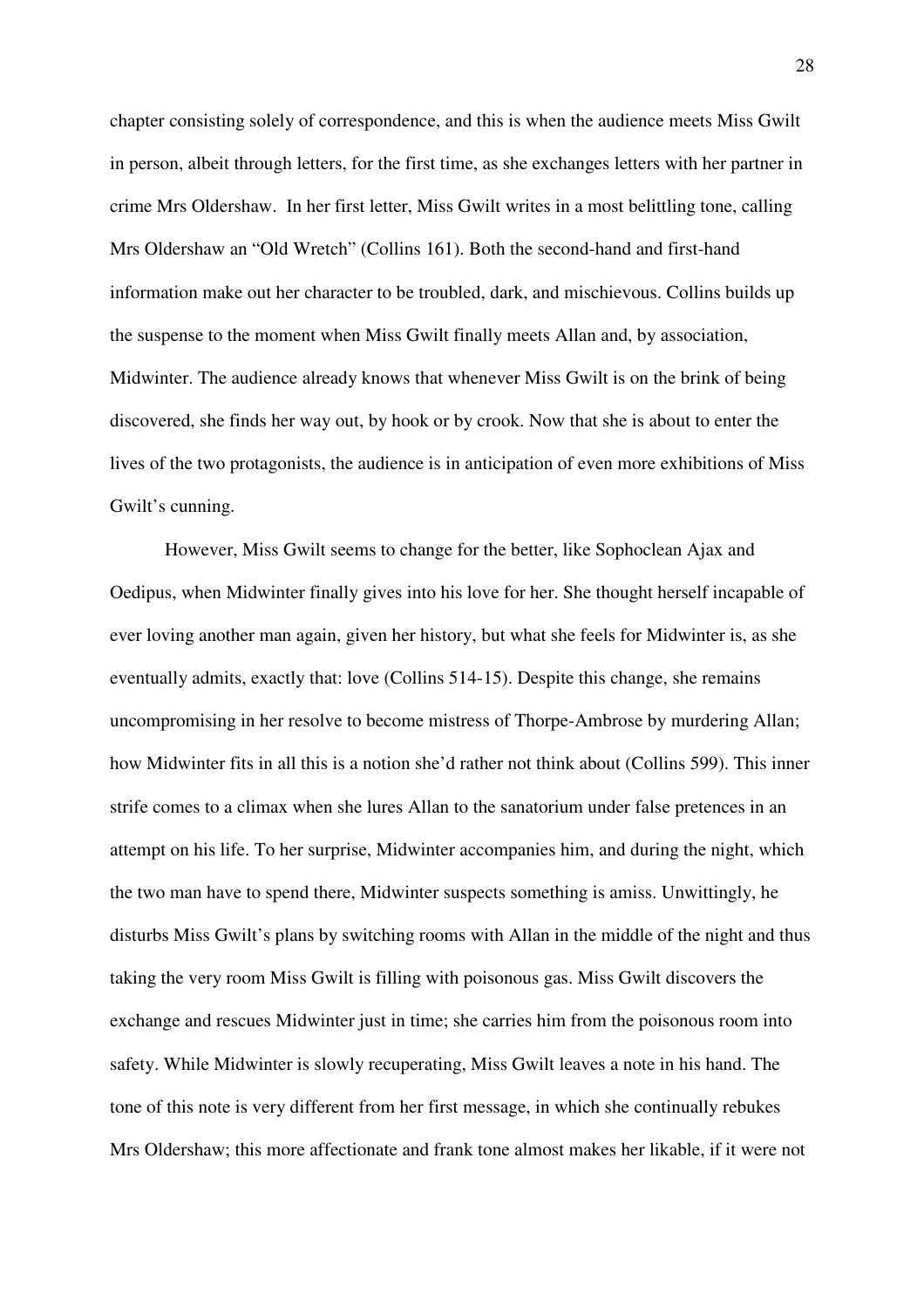chapter consisting solely of correspondence, and this is when the audience meets Miss Gwilt in person, albeit through letters, for the first time, as she exchanges letters with her partner in crime Mrs Oldershaw. In her first letter, Miss Gwilt writes in a most belittling tone, calling Mrs Oldershaw an "Old Wretch" (Collins 161). Both the second-hand and first-hand information make out her character to be troubled, dark, and mischievous. Collins builds up the suspense to the moment when Miss Gwilt finally meets Allan and, by association, Midwinter. The audience already knows that whenever Miss Gwilt is on the brink of being discovered, she finds her way out, by hook or by crook. Now that she is about to enter the lives of the two protagonists, the audience is in anticipation of even more exhibitions of Miss Gwilt's cunning.

However, Miss Gwilt seems to change for the better, like Sophoclean Ajax and Oedipus, when Midwinter finally gives into his love for her. She thought herself incapable of ever loving another man again, given her history, but what she feels for Midwinter is, as she eventually admits, exactly that: love (Collins 514-15). Despite this change, she remains uncompromising in her resolve to become mistress of Thorpe-Ambrose by murdering Allan; how Midwinter fits in all this is a notion she'd rather not think about (Collins 599). This inner strife comes to a climax when she lures Allan to the sanatorium under false pretences in an attempt on his life. To her surprise, Midwinter accompanies him, and during the night, which the two man have to spend there, Midwinter suspects something is amiss. Unwittingly, he disturbs Miss Gwilt's plans by switching rooms with Allan in the middle of the night and thus taking the very room Miss Gwilt is filling with poisonous gas. Miss Gwilt discovers the exchange and rescues Midwinter just in time; she carries him from the poisonous room into safety. While Midwinter is slowly recuperating, Miss Gwilt leaves a note in his hand. The tone of this note is very different from her first message, in which she continually rebukes Mrs Oldershaw; this more affectionate and frank tone almost makes her likable, if it were not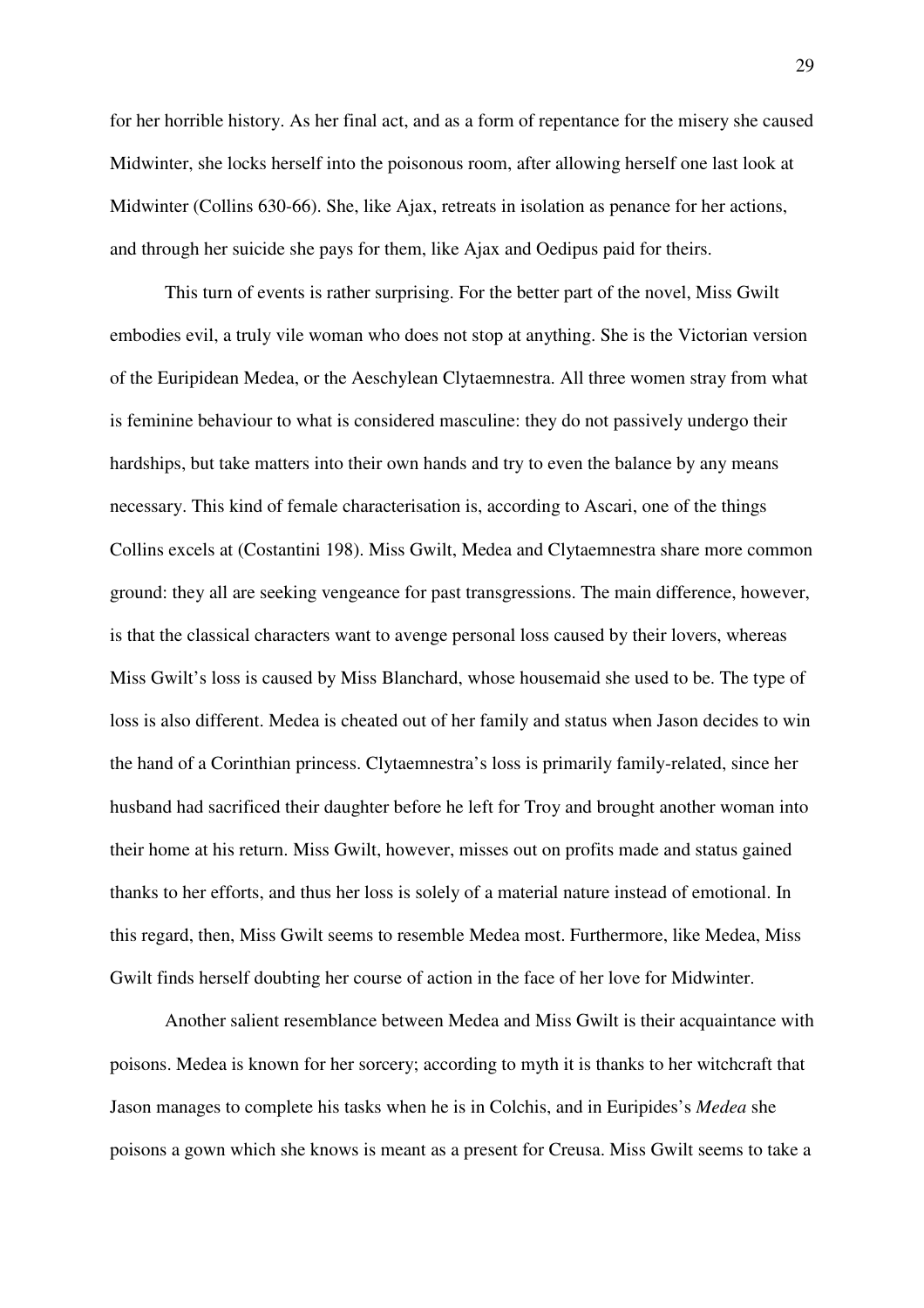for her horrible history. As her final act, and as a form of repentance for the misery she caused Midwinter, she locks herself into the poisonous room, after allowing herself one last look at Midwinter (Collins 630-66). She, like Ajax, retreats in isolation as penance for her actions, and through her suicide she pays for them, like Ajax and Oedipus paid for theirs.

This turn of events is rather surprising. For the better part of the novel, Miss Gwilt embodies evil, a truly vile woman who does not stop at anything. She is the Victorian version of the Euripidean Medea, or the Aeschylean Clytaemnestra. All three women stray from what is feminine behaviour to what is considered masculine: they do not passively undergo their hardships, but take matters into their own hands and try to even the balance by any means necessary. This kind of female characterisation is, according to Ascari, one of the things Collins excels at (Costantini 198). Miss Gwilt, Medea and Clytaemnestra share more common ground: they all are seeking vengeance for past transgressions. The main difference, however, is that the classical characters want to avenge personal loss caused by their lovers, whereas Miss Gwilt's loss is caused by Miss Blanchard, whose housemaid she used to be. The type of loss is also different. Medea is cheated out of her family and status when Jason decides to win the hand of a Corinthian princess. Clytaemnestra's loss is primarily family-related, since her husband had sacrificed their daughter before he left for Troy and brought another woman into their home at his return. Miss Gwilt, however, misses out on profits made and status gained thanks to her efforts, and thus her loss is solely of a material nature instead of emotional. In this regard, then, Miss Gwilt seems to resemble Medea most. Furthermore, like Medea, Miss Gwilt finds herself doubting her course of action in the face of her love for Midwinter.

Another salient resemblance between Medea and Miss Gwilt is their acquaintance with poisons. Medea is known for her sorcery; according to myth it is thanks to her witchcraft that Jason manages to complete his tasks when he is in Colchis, and in Euripides's *Medea* she poisons a gown which she knows is meant as a present for Creusa. Miss Gwilt seems to take a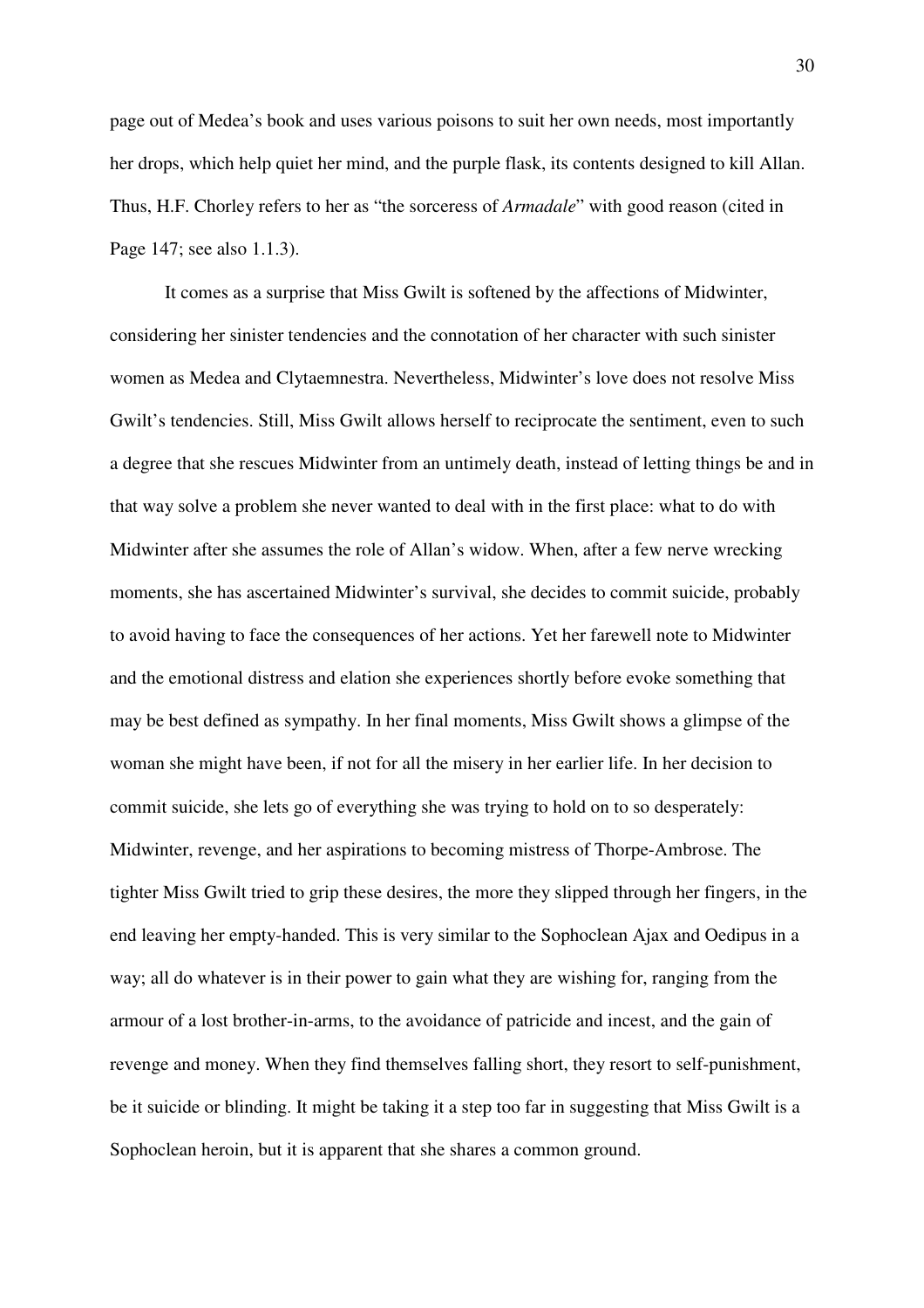page out of Medea's book and uses various poisons to suit her own needs, most importantly her drops, which help quiet her mind, and the purple flask, its contents designed to kill Allan. Thus, H.F. Chorley refers to her as "the sorceress of *Armadale*" with good reason (cited in Page 147; see also 1.1.3).

It comes as a surprise that Miss Gwilt is softened by the affections of Midwinter, considering her sinister tendencies and the connotation of her character with such sinister women as Medea and Clytaemnestra. Nevertheless, Midwinter's love does not resolve Miss Gwilt's tendencies. Still, Miss Gwilt allows herself to reciprocate the sentiment, even to such a degree that she rescues Midwinter from an untimely death, instead of letting things be and in that way solve a problem she never wanted to deal with in the first place: what to do with Midwinter after she assumes the role of Allan's widow. When, after a few nerve wrecking moments, she has ascertained Midwinter's survival, she decides to commit suicide, probably to avoid having to face the consequences of her actions. Yet her farewell note to Midwinter and the emotional distress and elation she experiences shortly before evoke something that may be best defined as sympathy. In her final moments, Miss Gwilt shows a glimpse of the woman she might have been, if not for all the misery in her earlier life. In her decision to commit suicide, she lets go of everything she was trying to hold on to so desperately: Midwinter, revenge, and her aspirations to becoming mistress of Thorpe-Ambrose. The tighter Miss Gwilt tried to grip these desires, the more they slipped through her fingers, in the end leaving her empty-handed. This is very similar to the Sophoclean Ajax and Oedipus in a way; all do whatever is in their power to gain what they are wishing for, ranging from the armour of a lost brother-in-arms, to the avoidance of patricide and incest, and the gain of revenge and money. When they find themselves falling short, they resort to self-punishment, be it suicide or blinding. It might be taking it a step too far in suggesting that Miss Gwilt is a Sophoclean heroin, but it is apparent that she shares a common ground.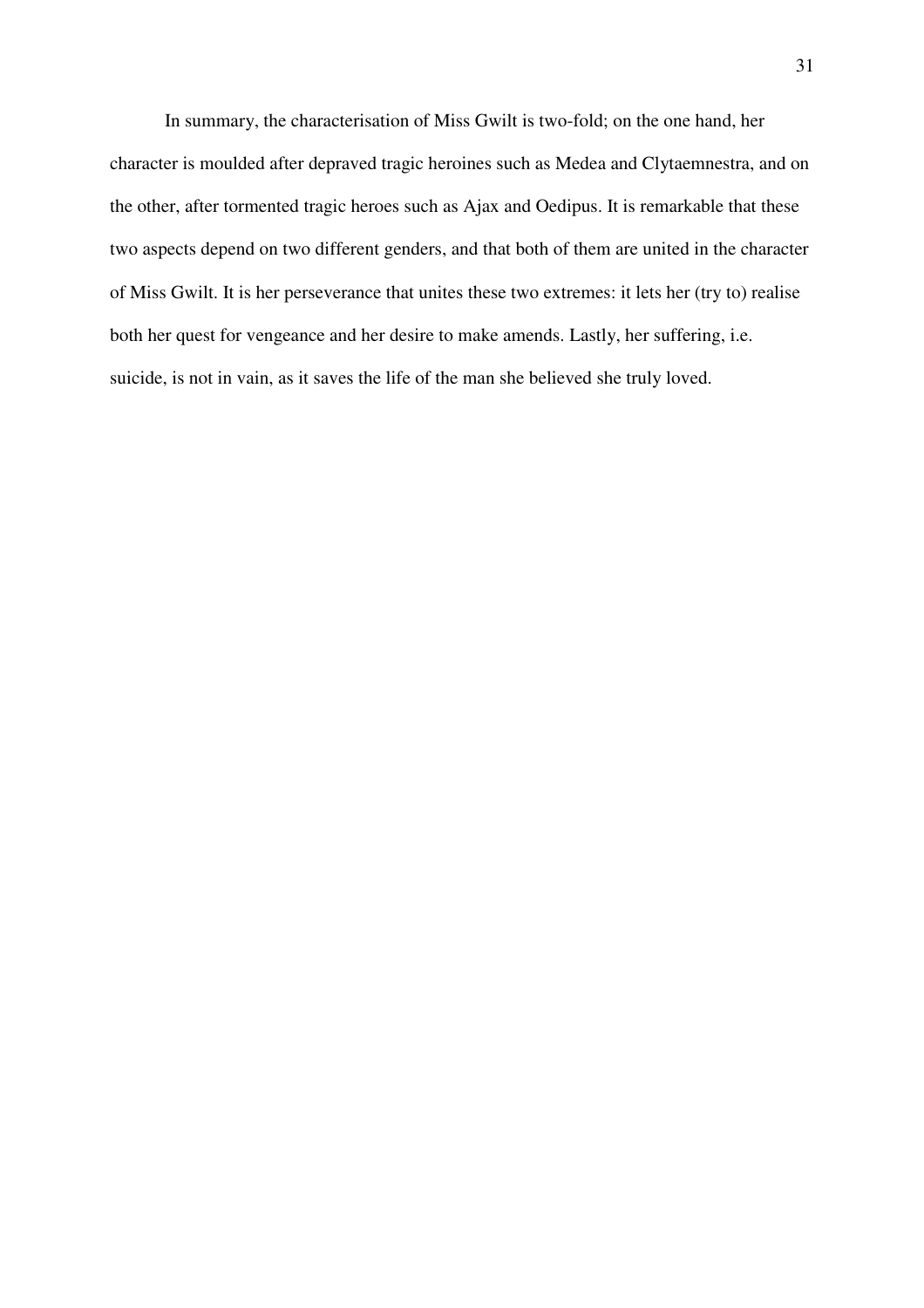In summary, the characterisation of Miss Gwilt is two-fold; on the one hand, her character is moulded after depraved tragic heroines such as Medea and Clytaemnestra, and on the other, after tormented tragic heroes such as Ajax and Oedipus. It is remarkable that these two aspects depend on two different genders, and that both of them are united in the character of Miss Gwilt. It is her perseverance that unites these two extremes: it lets her (try to) realise both her quest for vengeance and her desire to make amends. Lastly, her suffering, i.e. suicide, is not in vain, as it saves the life of the man she believed she truly loved.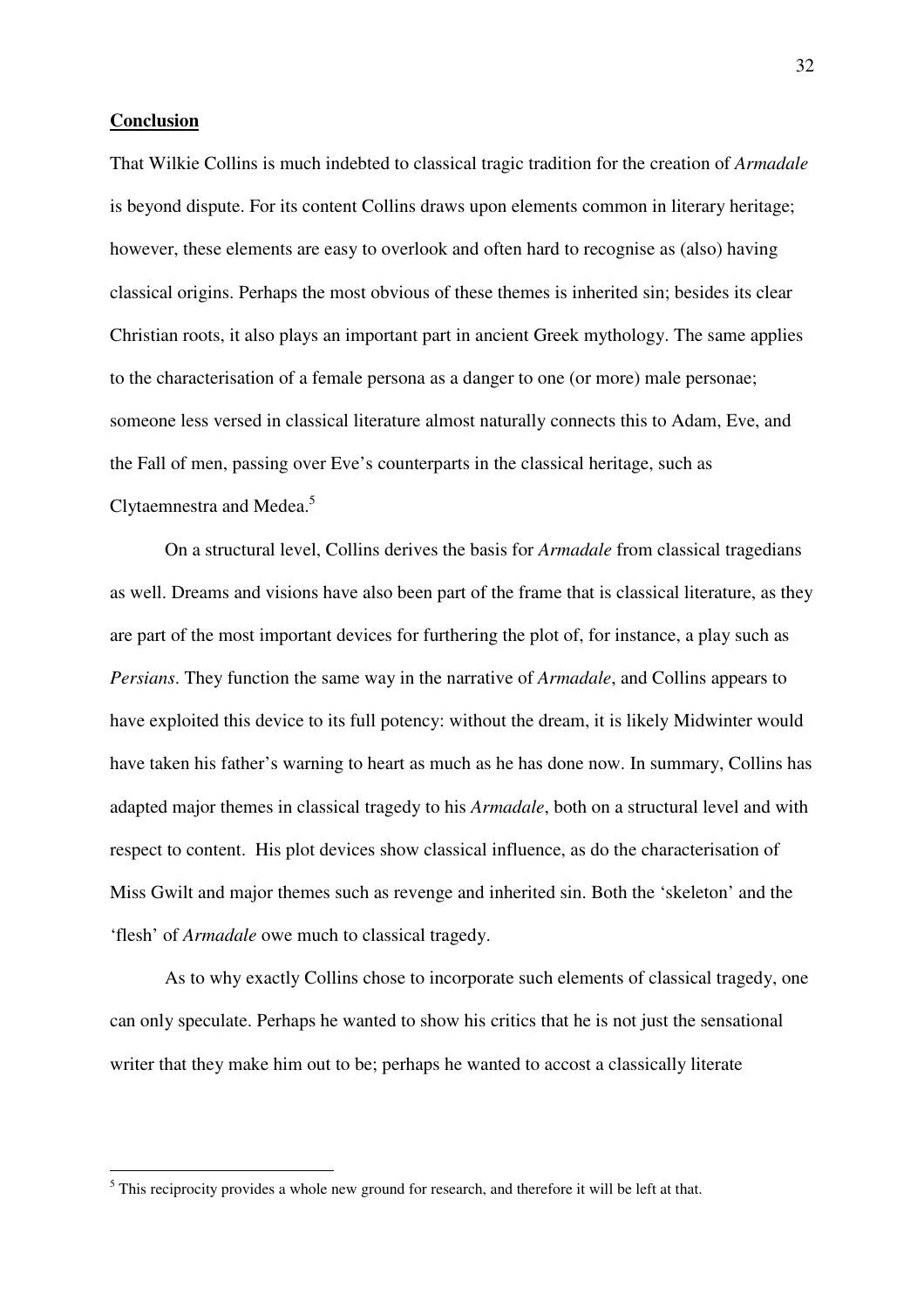#### **Conclusion**

That Wilkie Collins is much indebted to classical tragic tradition for the creation of *Armadale* is beyond dispute. For its content Collins draws upon elements common in literary heritage; however, these elements are easy to overlook and often hard to recognise as (also) having classical origins. Perhaps the most obvious of these themes is inherited sin; besides its clear Christian roots, it also plays an important part in ancient Greek mythology. The same applies to the characterisation of a female persona as a danger to one (or more) male personae; someone less versed in classical literature almost naturally connects this to Adam, Eve, and the Fall of men, passing over Eve's counterparts in the classical heritage, such as Clytaemnestra and Medea.<sup>5</sup>

On a structural level, Collins derives the basis for *Armadale* from classical tragedians as well. Dreams and visions have also been part of the frame that is classical literature, as they are part of the most important devices for furthering the plot of, for instance, a play such as *Persians*. They function the same way in the narrative of *Armadale*, and Collins appears to have exploited this device to its full potency: without the dream, it is likely Midwinter would have taken his father's warning to heart as much as he has done now. In summary, Collins has adapted major themes in classical tragedy to his *Armadale*, both on a structural level and with respect to content. His plot devices show classical influence, as do the characterisation of Miss Gwilt and major themes such as revenge and inherited sin. Both the 'skeleton' and the 'flesh' of *Armadale* owe much to classical tragedy.

As to why exactly Collins chose to incorporate such elements of classical tragedy, one can only speculate. Perhaps he wanted to show his critics that he is not just the sensational writer that they make him out to be; perhaps he wanted to accost a classically literate

<sup>&</sup>lt;sup>5</sup> This reciprocity provides a whole new ground for research, and therefore it will be left at that.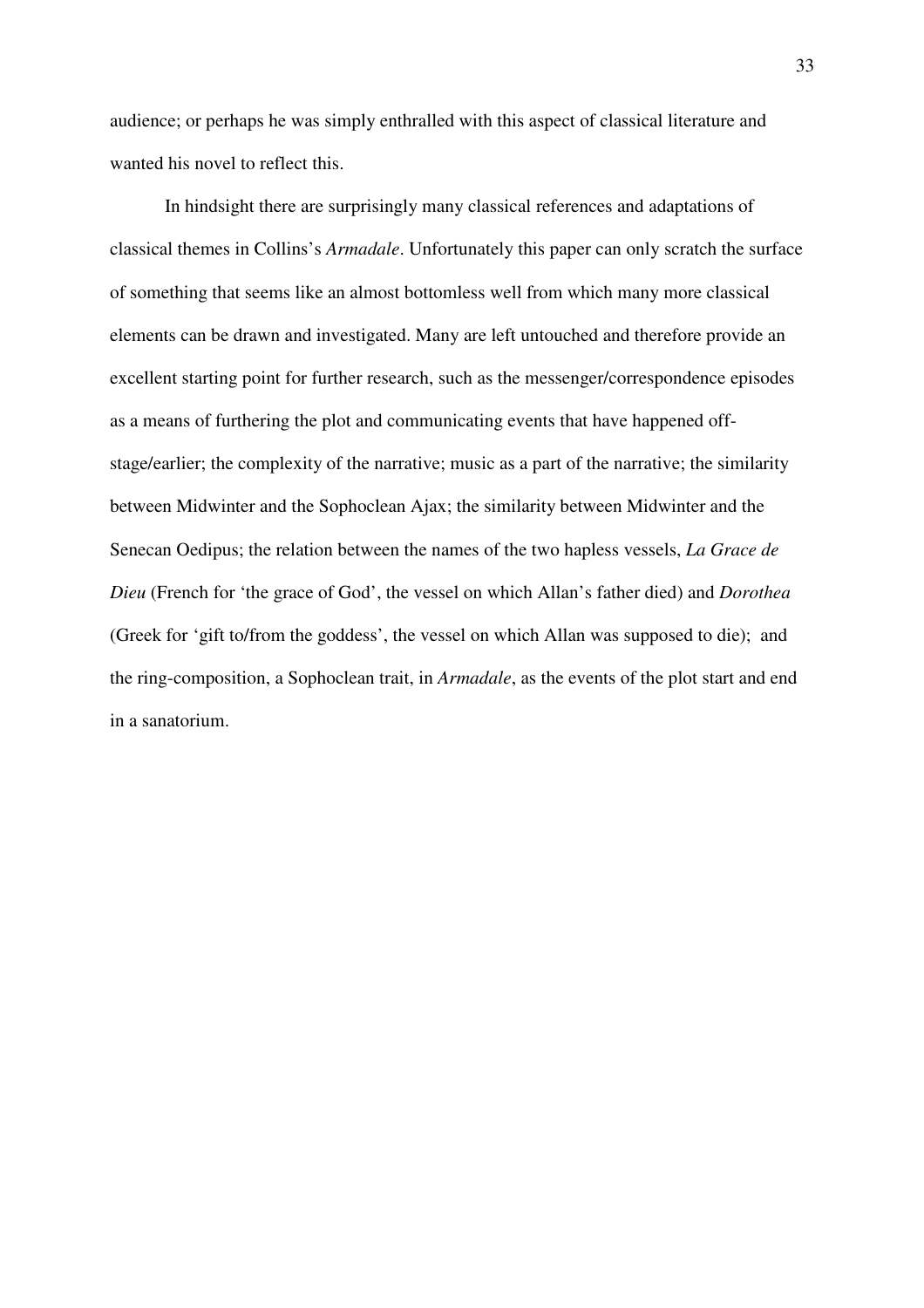audience; or perhaps he was simply enthralled with this aspect of classical literature and wanted his novel to reflect this.

In hindsight there are surprisingly many classical references and adaptations of classical themes in Collins's *Armadale*. Unfortunately this paper can only scratch the surface of something that seems like an almost bottomless well from which many more classical elements can be drawn and investigated. Many are left untouched and therefore provide an excellent starting point for further research, such as the messenger/correspondence episodes as a means of furthering the plot and communicating events that have happened offstage/earlier; the complexity of the narrative; music as a part of the narrative; the similarity between Midwinter and the Sophoclean Ajax; the similarity between Midwinter and the Senecan Oedipus; the relation between the names of the two hapless vessels, *La Grace de Dieu* (French for 'the grace of God', the vessel on which Allan's father died) and *Dorothea* (Greek for 'gift to/from the goddess', the vessel on which Allan was supposed to die); and the ring-composition, a Sophoclean trait, in *Armadale*, as the events of the plot start and end in a sanatorium.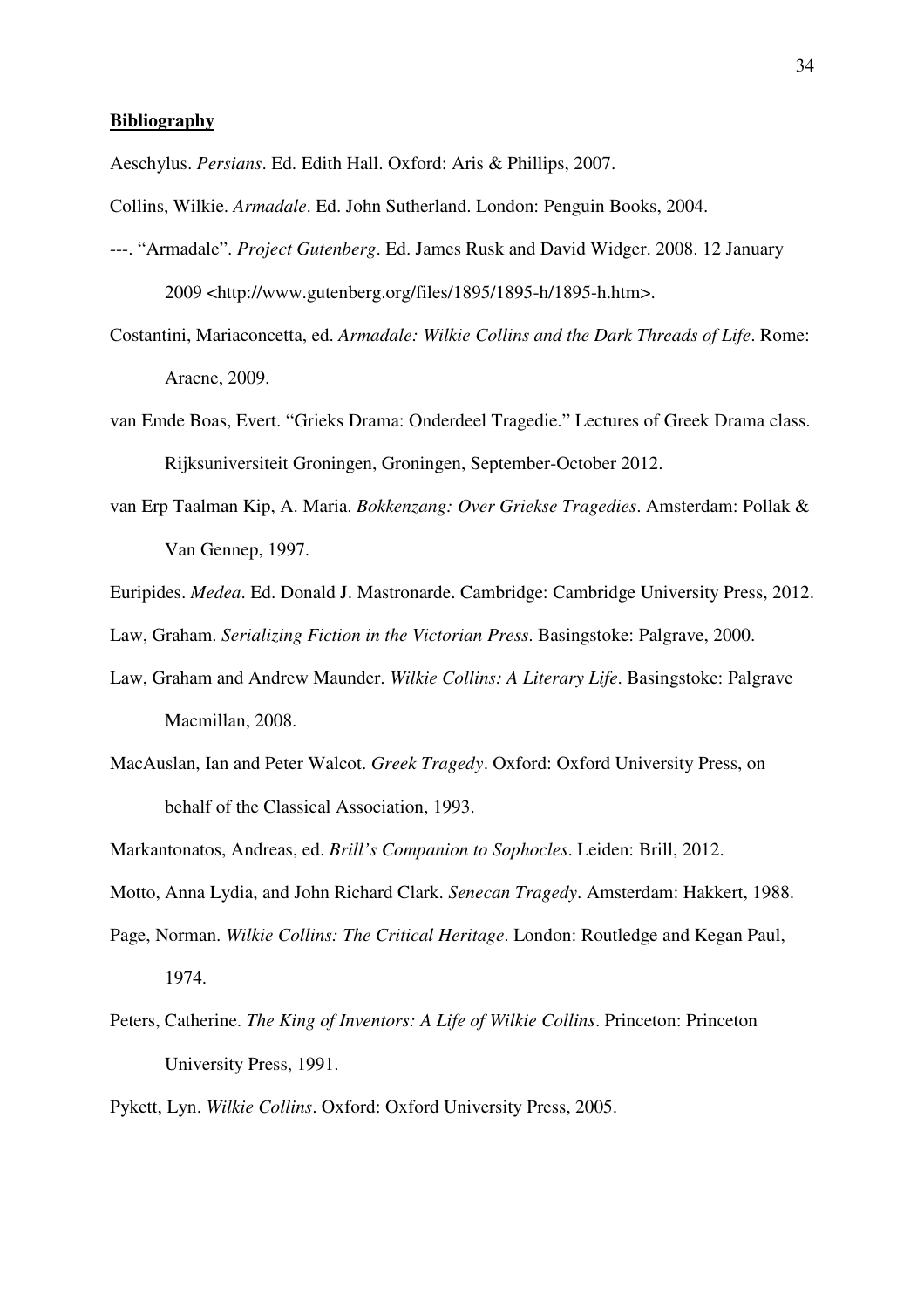#### **Bibliography**

Aeschylus. *Persians*. Ed. Edith Hall. Oxford: Aris & Phillips, 2007.

Collins, Wilkie. *Armadale*. Ed. John Sutherland. London: Penguin Books, 2004.

- ---. "Armadale". *Project Gutenberg*. Ed. James Rusk and David Widger. 2008. 12 January 2009 <http://www.gutenberg.org/files/1895/1895-h/1895-h.htm>.
- Costantini, Mariaconcetta, ed. *Armadale: Wilkie Collins and the Dark Threads of Life*. Rome: Aracne, 2009.
- van Emde Boas, Evert. "Grieks Drama: Onderdeel Tragedie." Lectures of Greek Drama class. Rijksuniversiteit Groningen, Groningen, September-October 2012.
- van Erp Taalman Kip, A. Maria. *Bokkenzang: Over Griekse Tragedies*. Amsterdam: Pollak & Van Gennep, 1997.
- Euripides. *Medea*. Ed. Donald J. Mastronarde. Cambridge: Cambridge University Press, 2012.

Law, Graham. *Serializing Fiction in the Victorian Press*. Basingstoke: Palgrave, 2000.

- Law, Graham and Andrew Maunder. *Wilkie Collins: A Literary Life*. Basingstoke: Palgrave Macmillan, 2008.
- MacAuslan, Ian and Peter Walcot. *Greek Tragedy*. Oxford: Oxford University Press, on behalf of the Classical Association, 1993.

Markantonatos, Andreas, ed. *Brill's Companion to Sophocles*. Leiden: Brill, 2012.

Motto, Anna Lydia, and John Richard Clark. *Senecan Tragedy*. Amsterdam: Hakkert, 1988.

- Page, Norman. *Wilkie Collins: The Critical Heritage*. London: Routledge and Kegan Paul, 1974.
- Peters, Catherine. *The King of Inventors: A Life of Wilkie Collins*. Princeton: Princeton University Press, 1991.
- Pykett, Lyn. *Wilkie Collins*. Oxford: Oxford University Press, 2005.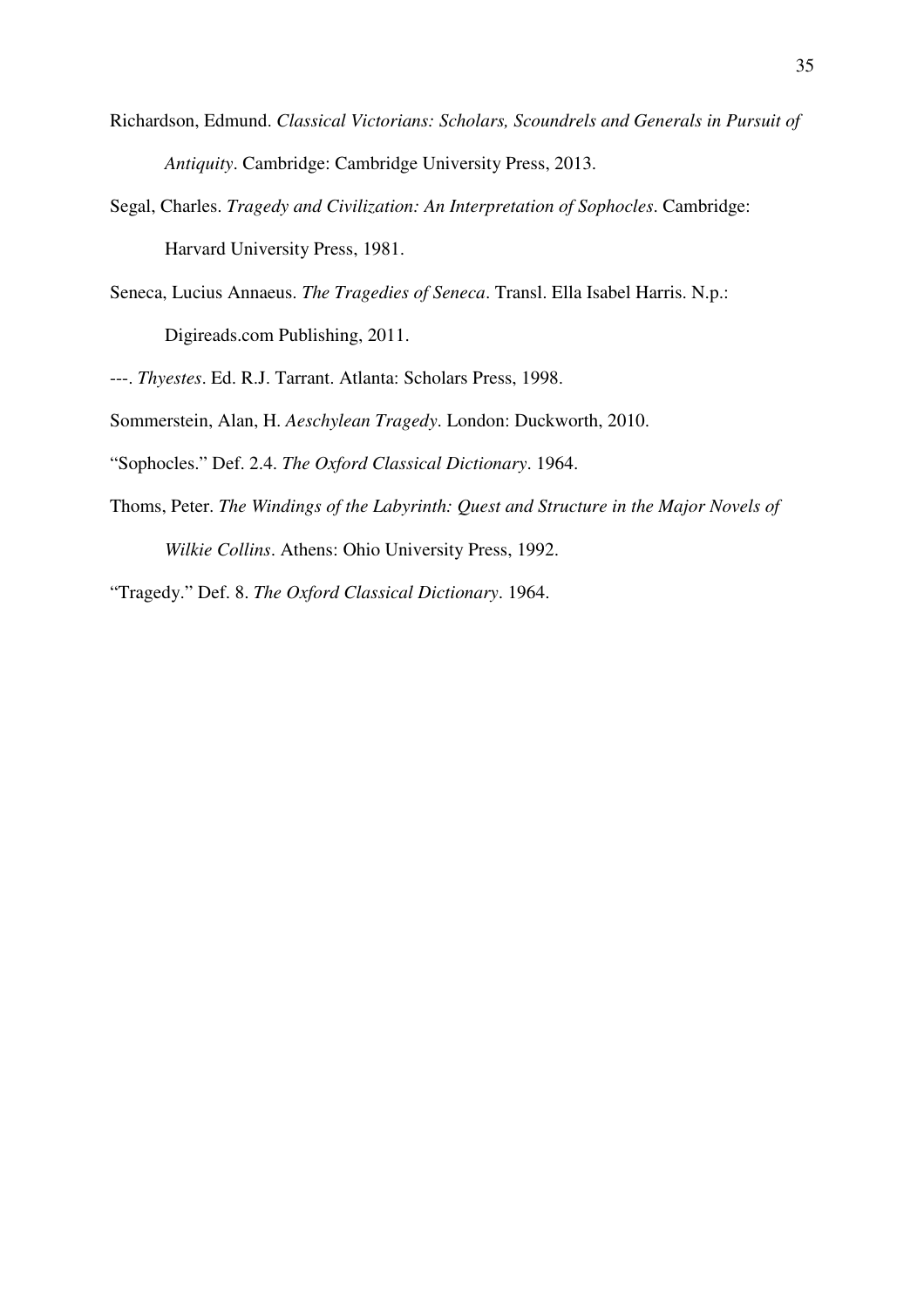- Richardson, Edmund. *Classical Victorians: Scholars, Scoundrels and Generals in Pursuit of Antiquity*. Cambridge: Cambridge University Press, 2013.
- Segal, Charles. *Tragedy and Civilization: An Interpretation of Sophocles*. Cambridge: Harvard University Press, 1981.
- Seneca, Lucius Annaeus. *The Tragedies of Seneca*. Transl. Ella Isabel Harris. N.p.: Digireads.com Publishing, 2011.
- ---. *Thyestes*. Ed. R.J. Tarrant. Atlanta: Scholars Press, 1998.
- Sommerstein, Alan, H. *Aeschylean Tragedy*. London: Duckworth, 2010.
- "Sophocles." Def. 2.4. *The Oxford Classical Dictionary*. 1964.
- Thoms, Peter. *The Windings of the Labyrinth: Quest and Structure in the Major Novels of Wilkie Collins*. Athens: Ohio University Press, 1992.
- "Tragedy." Def. 8. *The Oxford Classical Dictionary*. 1964.